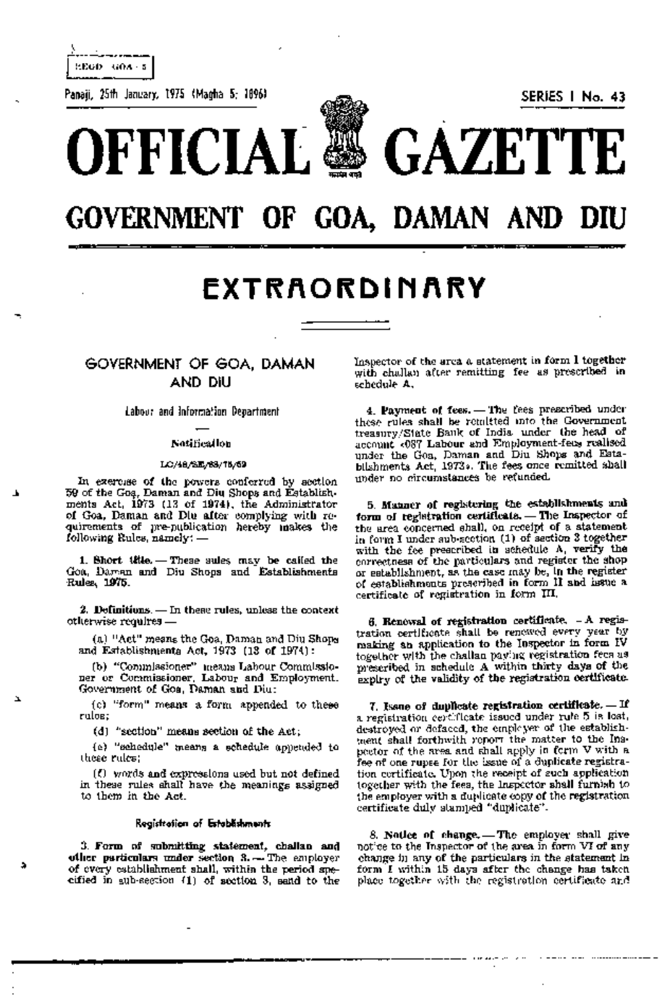EEGD GOA - 5

Panaji, 25th January, 1975 (Magha 5; 1896) SERIES 1 No. 43

**OFFICIAL GAZETTE** 



# **GOVERNMENT OF GOA, DAMAN AND DIU**

# **EXTRAORDINARY**

# GOVERNMENT OF GOA, DAMAN AND DIU

labour and Information Department

# Notification

#### LC/48/SE/68/75/59

In exercise of the powers conferred by section .59 of the GOf}, Daman and Diu Shops and Establishments Act, 1973 (13 of 1974), the Administrator ·of Goa, Daman and Diu after complying with re- 'quirements of pre-publication hereby. makes the following Rules, namely:-

1. Short title.  $-$  These aules may be called the Goa, Daman and Diu. Shops and Establishments 'Rulesi, 1975.

2. Definitions.  $-$  In these rules, unless the context otherwise requires - .

(a) "Act" means the Goa, Daman and Diu Shops and Establishments Act, 1973 (13 of 1974):

(b) "Commissioner" means Labour Commissioner or Commissioner, Labour and Employment, Government of Goa, Daman and Diu;

(c) "form" means a form appended to these rules;

(d) "section"means section of the Act;

(e) "schedule" means' a schedule appended to these rules;

 $\ell$ ) words and expressions used but not defined in these rules shall have the meanings assigned to them in the Act.

### Registration of Estabfishments

3. Form of submitting statement, challan and other particulars under section  $3. -$  The employer of every establishment shall, within the period spe-.cified in sub-section (1) of section 3, send to the Inspector of the area a statement in form I together with challan after remitting fee as prescribed in schedule A.

4. Payment of fees. - The fees prescribed under these rules shall be remitted into the Government treasury/State Bank of India under the head of account «087 Labour and Employment-fees realised under the Goa, Daman and Diu Shops and Establishments Act, 1973». The fees once remitted shall under no circumstances be refunded.

5. Manner of registering the establishments and form of reglatration certificate. - The Inspector of the area concerned shall, on receipt of a statement in form I under sub-section (1) of section  $3$  together with the fee prescribed in schedule A, verify the correctness of the particulars and register the shop or establishment, as. the case may be, in the register of establishments prescribed in form II and. issue a certificate of registration in form  $III$ .

6. Renewal of registration certificate. - A registration certificate shall be renewed every year by making an application to the Inspector in form IV together with the challan payjng registration fees as prescribed in schedule A within thirty days. of the expiry of the validity of the registration certificate.

 $7.$  Issue of duplicate registration certificate.  $=$  If a registmtion certificate issued under rule 5 is lost, destroyed or defaced, the employer of the establishment shall forthwith report the matter to the Inspector of the area and shall apply in form V with a fee of one rupee for the issue of a duplicate registration certificate. Upon the receipt of such application together with the fees, the Inspedor shall furnish to the employer with a duplicate copy of the registration  $\overline{\phantom{a}}$ certirficate duly stamped "duplicate".

8. Notice of change. - The employer shall give notice to the Inspector of the area in form VI of any change in any of the particulars in the statement in form I within 15 days after the change has taken place together with the registration certificate and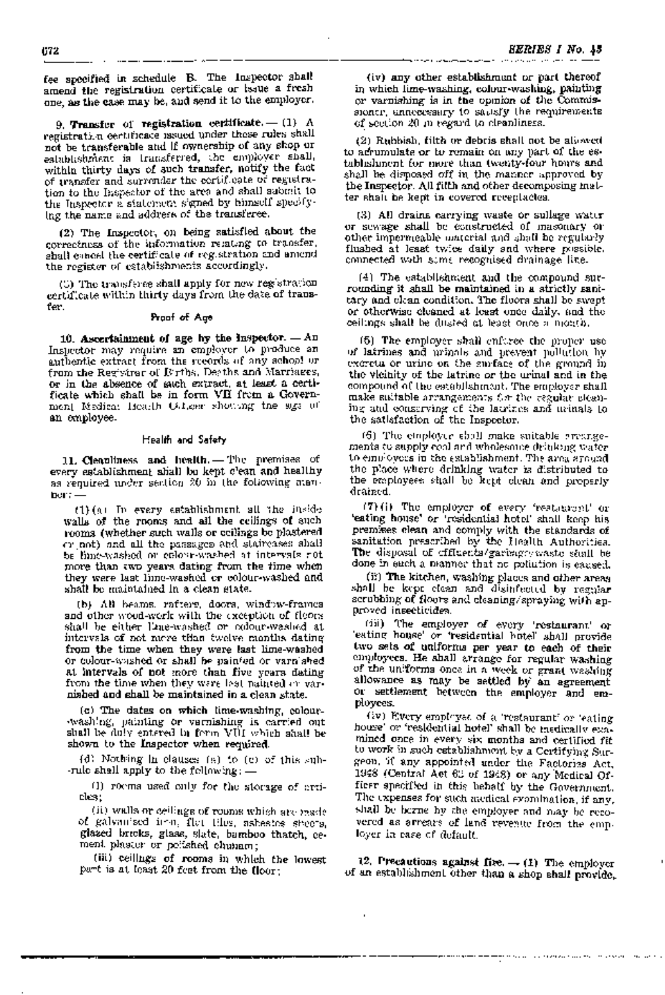fee specified in schedule B. The Inspector shall amend the registration certificate or issue a fresh one, as the case may be, and send it to the employer.

9. Transfer of registration certificate.  $-$  (1) A registration certificate issued under these rules shall not be transferable and if ownership of any shop or establishment is transferred, the employer shall, within thirty days of such transfer, notify the fact of transfer and surrender the certificate of registration to the Inspector of the area and shall submit to the Inspector a statement signed by himself specifying the name and address of the transferee.

(2) The Inspector, on being satisfied about the correctness of the information relating to transfer, shall cancel the certificate of registration and amend the register of establishments accordingly.

(3) The transferee shall apply for new registration certificate within thirty days from the date of transfer.

## Proof of Age

10. Ascertainment of age by the Inspector.  $-An$ Inspector may require an employer to produce an authentic extract from the records of any school or from the Regivirar of Births, Deeths and Marriages. or in the absence of such extract, at least a certificate which. shall be in form VII from a Government Medical Health Oil.cer showing the sign of an employee.

#### Health and Scifety

11. Cleanliness and health. - The premises of every establishment shall be kept c'ean and healthy as required under section  $20$  in the following manner:-

(1) (a) In every establishment aU 'the inside walls of the rooms and all the ceilings of such rooms (whether such walls or ceilings be plastered or not) and all the passages and staircases shall be lime-washed or colour-washed at intervals not more than two years dating from the time when they were last lime-washed or colour-washed and shall be maintained in a clean state.

(b) All beams, rafters, doors, window-frames and other wood-work with the exception of floors shall be either Eme-washed or colour-washed at intervals of not mere tHan twelve months dating" from the time when they were last lime-washed O'r colour-washed ~or shall be painted ,or varn:shed at intervals of not more than five years dating from the time when they were last painted or varnished and shall be maintained in a clean state.

(c) The dates on which lime-washing, colour- -washing, painting or varnishing is carr:ed out shall be duly entered in form VIII which shall be

shown to the Inspector when required.<br>
(d) Nothing in clauses (a) to (c) or<br>
-rule shall apply to the following : —<br>
(1) rooms used only for the stora;<br>
cles;<br>
(ii) walls or dellings of rooms which  $(d)$  Nothing in clauses  $(e)$  to  $(e)$  of this sub--rule shall apply to the following:  $-$ 

 $(1)$  rooms used only for the storage of arti-<br>cles;

(ii) walls or ceilings of rooms which are made of galvanised ir n, flat tiles, asbestos sheets. glazed bricks, glass, slate, bamboo thatch, cement plaster or polished chunam;

(iii) ceilings of rooms in which the lowest part is at least 20 feet from the  $\mu_{00}$ .

(iv) any other establishment or part thereof in which lime-washing, colour-washing, painting or varnishing is in the opinion of the Commissioner, unnecessary to sadisfy the requirements of section  $20$  in regard to cleanliness.

(2) Rubbish, filth Or debris shall not be allow-ed to acrumulate or to remain on any part of the establishment fior more than twenty-'four hours and shall be disposed off in the manner approved by the Inspector. All filth and other decomposing matter shalt be kept in covered receptacles.

(3) All drains carrying waste or sullage water or sewage shall be constructed of masonary' or other impermeable material and shall be regularly flushed at least twice daily and where possible. connected with some recognised drainage line.

(4). The establishment and the compound surrounding' it shaUbe maintained in a strictly sanitary and clean condition. The floors shall be swept or otherwise cleaned at least once daily, and the ceilings shall be dusted at least once a month.

(15) The employer shall enforce the proper use of latrines and urinals and prevent pollution by excreta or urine on the surface of the ground in the vicinity of the latrine or the urinal and in the compound of the establishment. The employer shall make suitable arrangements for the regular electiing and conserving of the latrines and urinals to the satisfaction of the Inspector.

 $(6)$  The employer shall make suitable arrangements to supply cool and wholesome drinking water to employees in the establishment. The area around the place where drinking water is distributed to the emplnyees shall be kept clean and preperly drained.

(7) (i) The employer of every 'restaurant' or 'eating house'or 'residential hotel' shall keep his premises' clean and comply with the standards of sanitation prescribed by the Health Authorities. The disposal of effluenta/garbage/waste shall be done in such a manner that no pollution is caused.

(ii) The kitchen, washing places and other areas shall be kept clean and disinfected by regular scrubbing of floors and cleaning/spraying with approved insecticides.

(iii) The employer of every 'restaurant' or eating house' or 'residential hotel' shall provide two sets of uniforms per year to. each of their employees. He ahall arrange for regular washing of the uniforms once in a week or grant washing allowance as may be settled by an agreement or settlement between the employer and employees.

(iv) Every empkyeE: of a 'restaurant' or 'eating house' or 'residential hotel' shall be medically examined once in every six months and certified fit to work in such establishment by a Certifying Surgeon, Ilf any, appointed under the Factories Act, 1948 (Central Act 63 of 1948) or any Medical Officer specified in this behalf by the Government. The expenses for such medical evamination, if any, shall be bozne by the employer and may be recovered as arrears of land revenue from the employer in case of default.

12. Precautions against fire.  $\rightarrow$  (1) The employer of an estabhshment other than a shop shall provide,.

the construction of the company of the contract of the contract of the contract of the contract of the contract of

 $\blacksquare$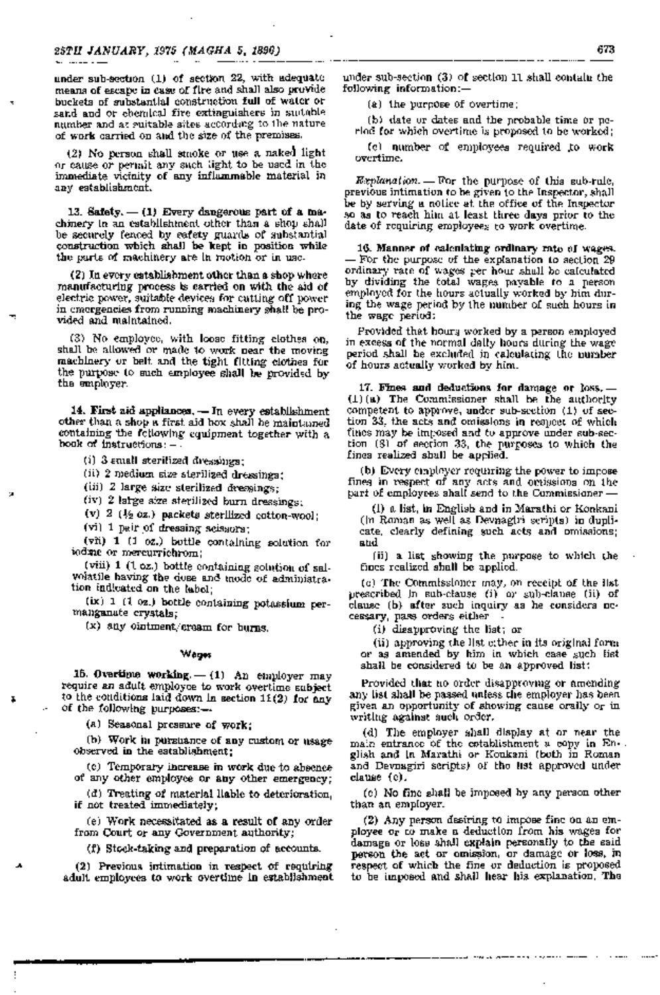under sub-section  $(1)$  of section 22, with adequate means of escape in case of fire and shall also provide buckets of substantial construction full of water or sand and or chemical fire extinguishers in suitable number and at enitable sites according to the nature of work carried on and the size of the premises.

(2) No person shall smoke or use a naked light or cause or permit any such light to be used in the immediate vicinity of any inflammable material in any establishment.

13. Safety.  $-$  (1) Every dangerous part of a machinery in an establishment other than a shop shall be securely fenced by safety guards of substantial construction which shall be kept in position while the parts of machinery are in motion or in use.

(2) In every establishment other than a shop where manufacturing process is carried on with the aid of electric power, suitable devices for cutting off power in emergencies from running machinery shall be provided and maintained.

(3) No employee, with loose fitting clothes on, shall be allowed or made to work near the moving machinery or belt and the tight fitting clothes for the purpose to such employee shall be provided by the employer.

14. First aid appliances. - In every establishment other than a shop a first aid box shall be maintained containing the following equipment together with a hook of instructions: -

(i) 3 £mall sterilized dressings;

(ii) 2. medium size sterilized dressings;

(iii) 2 large size sterilized dressings;

(iv) 2 large size sterilized burn dressings;

(v)  $2 \frac{1}{2}$  ( $\frac{1}{2}$  oz.) packets sterilized cotton-wool;

(vi) 1 pair of dressing scissors;

(vii) 1 (1 oz.) bottle containing solution for iodine or mercurrichrom;

(viii)  $1$  (1  $\sigma z$ .) bottle containing solution of salvoiatile having the dose and mode of administration indicated on the label;

(bt) 1 (1 oz.) bottle containing potassium permanganate crystals;

 $(x)$  any ointment/cream for burns.

#### Wages

15. Overtime working.  $-$  (1) An employer may require an adult employee to work overtime subject to the conditions laid down in section 11(2) for any of the following purposes:-

(a) Seasonal pressure of work;

(b) Work in pursuance of any custom or usage observed in the establishment;

(c) Temporary increase in work due to absence of any other employee or any other emergency;

(d) Treating of material liable to deterioration, if not treated immediately;

(e) Work necessitated as a result of any order from Court or any Government authority;

 $(f)$  Stock-taking and preparation of accounts.

(2) Previous intimation in respect of requiring adult employees to work overtime in establishment under sub-section (3) of section 11 shall contain the following information:- .

(a) the purpose of overtime;

(b) date or dates and the probable time or period for which overtime is proposed to be worked;

(c) number of employees required to work overtime.

Explanation.  $=$  For the purpose of this sub-rule, previous intimation to be given to the Inspector, shall be by serving a notice at the office of the Inspector so as to reach him at least three days prior to the date of requiring employees to work overtime.

16. Manner of calculating ordinary rate of wages. For the purpose of the explanation to section  $29$ ordinary rate of wages' per hour shall be calculated by dividing the total wages payable to a person employed for the hours actually worked by him during the wage period by the number of such hours in the wage period:

ProvideQ. that hours worked by a person employed in excess of the normal daily hours during the wage period shall be excluded in calculating the number of hours actually worked by him.

17. Fines and deductions for damage or loss.-(1) (a) The Commissioner shall be the authority competent to approve, under sub-section (1) of section 33, the acts and omissions in respect of which fines may be imposed and to approve under sub-section (8) of section 33, the purposes to which the fines realized shall be applied.

(b) Every employer requiring the power to impose fines in respect of any acts and omissions on the part of employees shall send to the Commissioner-

(i) a list, in English and in Marathi or Konkani (in Roman as well as Devnagiri scripts) in duplicate, clearly defining such acts and omissions; and

(ii) a list showing the purpose to which the fines realized shall be applied.

(c) The Commissioner may, on receipt of the list prescribed in sub-clause (i) or sub-clause (ii) of clause (b) after such inquiry as he considers necessary, pass orders either-

(i) disapproving the list; or

(ii) approving the Hst either in its original form or as amended by him in which case such list shall be considered to be an approved list:

Provided that no order disapproving or amending any list shall be passed unless the employer has been given an opportunity of showing' cause orally or in writing against such order.

(d) The employer shall display at or near the main entrance of the establishment  $u$  copy in En-. glish and in Marathi or Konkani (both in Roman and Devnagiri scripts) of the list approved under clause (c).

(e) No fine shall be imposed by any person other than an employer.

(2) Any person desiring to impose fine on an employee Or to make a deduction from his wages for damage or loss shall explain personally to the said person the act or omission, or damage or loss, in respect of which the fine. or deduction is proposed to be imposed and shall hear his explanation. The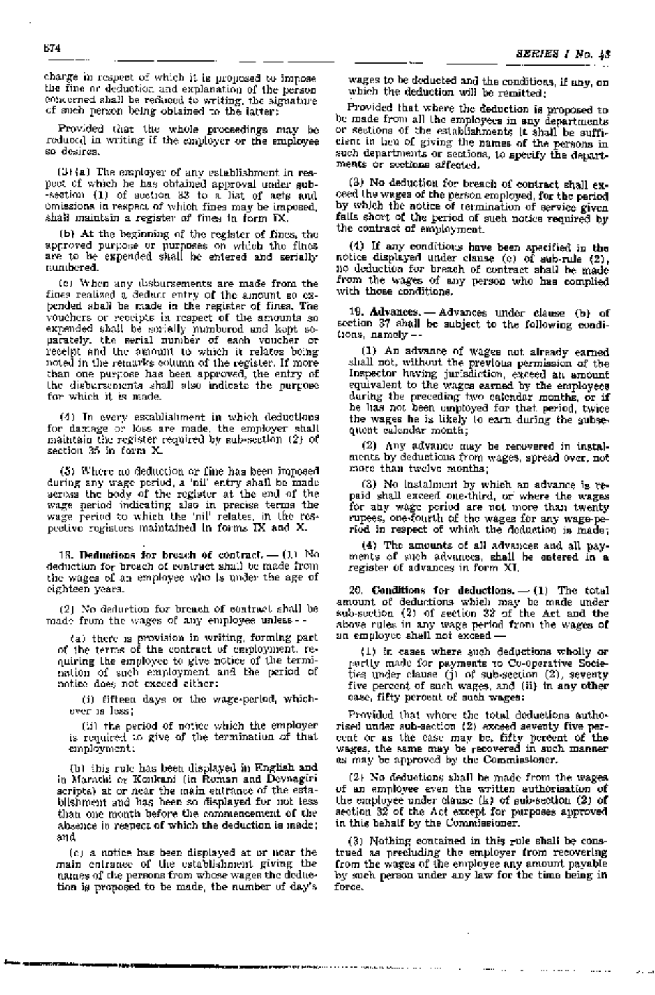charge in respect of which it is proposed to impose the fine or deduction and explanation of the person concerned shall be reduced to writing, the signature of such person being obtained to the latter:

Provided that the whole proceedings may be reduced in writing if the employer or the employee s,o, desires..

 $(3)$  The employer of any establishment in respeet of which he has obtained approval under sub--section  $(1)$  of section 33 to a list of acts and omissions in respect of which fines may be imposed, shall maintain a register of fines in form  $\mathbb{N}$ .

(b) At the beginning of the register of fines, the approved purpose or purposes. on which the fines are to be expended shall be entered and serially numbered.

(c) When any disbursements are made from the fines realized a deduct entry of the amount so expended shall be made in the register of fines. The vouchers or receipts in respect of the amounts so expended shall be serially numbered and kept separately, the serial number of each voucher or receipt and the amount to which it relates being noted in the remarks column of the register. If more than one purpose has been approved, the entry of the disbursements shall also indicate the purpose for which it is made.

(4) In every establishment in which deductions for damage or loss are made, the employer shall maintain the register required by sub-section (2) of section 35 in form X.

(5) Where no deduction or fine has been imposed during any wage period, a 'nil' entry shall be made across the body of the register at the end of the wage period indicating also in precise terms the wage period to which the 'nil' relates, 'in the respective registers maintained in forms IX and X.

18. Deductions for breach of contract.  $-$  (1) No deduction fOr breach of contract shall be made from the wages· of an employee who is under the age of eighteen years.

(2) No deduction for breach of contract shall be made from the wages of any employee unless-

(a) there is provision in writing, forming part of the terms of the contract of employment, requiring the employee to give notice of the termination of such employment and the period of notice does not exceed either:

(i) fifteen days or the wage-period, whichever is less;

(ii) the period of notice which the employer is required to give of the termination of that employment;

(b) this rule has been displayed in English and in Marathi Or Konkani (in Roman and Devnagiri seripts) at or near the main entrance of the estabJilshment and has! been so displayed for not less than one month before the commencement of the absence in respect of which the deduction is made; and

(c) a notice has been displayed at or near the main entrance of the establishment giving the names of the persons from whose wages the deduction is proposed to be made, the number of day's

wages to be deducted and the conditions, if any, on which the deduction will be remitted;

Provided that where the deduction is proposed to be made from aU the employees in any departments or sections of the establishments it shall be sufficient in lieu of giving the names of the persons in such departments or sections, to specify the departments or sections affected.

(3) No deduction for breach of contract shall exceed the wages of the person employed, for the period by which the notice of termination of service given falls short of the period of such notice required by the contract of employment.

(4) If any conditions have been specified in the notice displayed under clause (c) of sub-rule (2), no deduction for breach of oontract shall be made from the wages of any.person who has complied with. those conditions. .

19. Advances. - Advances under clause (b) of section 37 shall be subject to the following conditions, namely-

(1) An advance of wages not already earned shall not, without the previous permission of the Inspector having jurisdiction, exceed an amount equivalent to the wages earned by the employees during the preceding two ealendar months, or if he has not been employed for that period, twice the wages he is likely to earn during the subsequent calendar month;

(2) Any advance may be recovered in instal~ ments by deductions from wages, spread over, not more than twelve months;

(3) No instalment by which an advance is repaid shall exceed one~third, or- where the wages for any wage period are not more than twenty rupees, one-fourth of the wages for any wage-period in respect of which the deduction is made;

(4) The amounts of all advances and all payments of such advances, shall be entered in a register of advances in form XI.

20. Conditions for deductions. $-$  (1) The total amount of deductions which may be made under sub-section (2) of section 32 of the Act and the above rules in any wage period from the wages of an employee shall not exceed -

(1) in cases where such deductions wholly or partly made for payments to Co~operative Societies under clause q) of sub-section (2), seventy five percent of such wages, and (ii) in any other case, fifty percent of such wages:

Provided that where the total deductions authorised under sub-section (2) exceed seventy five percent or as the case may be, fifty percent of the wages, the same may be recovered in such manner as may be approved by 'the Commissioner.

(2) No deductions shall be made from the wages of an employee even the written authorisation of the employee under clause (k) of sub-section  $(2)$  of section 32 of the Act except for purposes approved in this behalf by the Commissioner.

(3) Nothing contained in this rule shall be con& trued as precluding the employer from recovering from the wages of the employee ariy amount payable by such person under any law for the time being in force.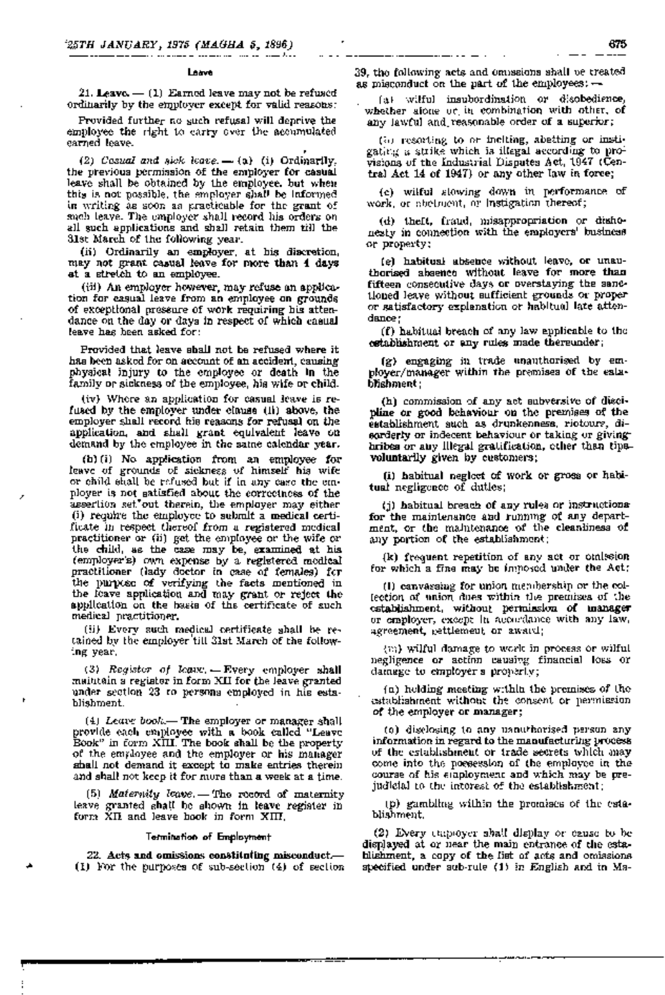#### Leave

•

21. Leave.  $-$  (1) Earned leave may not be refused ordinarily by the employer except for valid reasons:

Provided further no such refusal will deprive the employee the right to carry over the accumulated earned leave.

(2) Cosual and sick leave.  $-$  (a) (i) Ordinarily, the previous permission of the employer for casual leave shall be obtained by the employee, but when this is not possible, the employer shall be informed in writing as SQon as practicable for the grant of such leave. The employer shall record his orders on all such applications: and shall retain them till the 31st March of the following year.

(ii) Ordinarily an employer, at his discretion, may not grant casual leave for moce than 4 days at a stretch to an employee.

(iii) An employer however, may refuse an application for casual leave from an employee on grounds of exceptional pressure of work requiring his attendance on the day or days in respect of which casual leave has been asked for:

Provided that leave shall not be refused where it has been asked for on account of an accident, causing physical injury to the employee or death in the family or sickness of the employee, his wife or child.

(iv) Where an application for casual leave is refused by the employer under clause (ii) above, the  $\overline{a}$ ,employer shall record his reasons for refusal on the .application, and shall grant equivalent leave on demand by the employee in the same calendar year.

(b) (i) No· application from an employee' for leave of grounds of sickness of himself his wife or child shall be  $refused$  but if in any case the employer is not satisfied about the correctness of the assertion set out therein, the employer may either (i) require the employee to submit a medical certificate in respect thereof from a registered medical practitioner or (ii) get the employee or the wife or the child, as the case may be, examined at his (employer's) own expense by a registered medical practitioner (lady doctor in case of females) for the purpose of verifying the facts mentioned in the leave application and may grant or reject the application on the basis of the certificate of such medical practitioner;

(ii) Every such medical certificate shall be retained by the employer'till 31st March of the following year.

(3) Register of leave. - Every employer shall maintain a register in form XII for the leave granted under section 23 to persons employed in his establishment.

(4) Leave book.- The employer or manager shall provide each employee with a book called "Leave Book" in form  $XIII$ . The book shall be the property of the employee and the employer or his manager shall not demand it except to make entries therein and shall not keep it for more than a week at a time.

 $(5)$  Maternity leave. - The record of maternity leave granted shall be shown in leave register in form  $X\Pi$  and leave book in form  $X\Pi\Pi$ .

#### Termination of Employment

 $22.$  Acts and omissions constituting misconduct.-(1) For the purposes of sub-section  $(4)$  of section

39, the following acts and omissions shall be treated as misconduct on the part of the employees:  $-$ 

\_\_\_\_\_\_\_\_\_

--- ---

'(a)' Wilful insubordination or disobedience, whether alone or in combination with other, of any lawful and. reasonable order of a superior;

(b) resorting to or inciting, abetting or instigating a strike which is illegal according to provisions of the Industrial Disputes Act, 1947 (Central Act 14 of 1947) or any other law in force;

(c) wilful slowing down in performance of work, or abetment, or instigation thereof;

(d) theft, fraud, misappropriation or dishonesty in connection with the employers' business or property;

(e), habitual absence without leave, or lmau~ thorised absence without leave for more than fifteen consecutive days or overstaying the sanctioned leave without sufficient grounds or proper or satisfactory explanation or habitual late attendance;

 $(f)$  habitual breach of any law applicable to the establishment or any rules made thereunder;

(g), engaging in trade unauthorised by employer/manager within the premises of the establ1shment;

(h) commission of any act subversive of discipline or good behaviour on the premises of the establishment such as drunkenness, riotours, disorderly or indecent behaviour or taking or giving-' bribes or any illegal gratification, other than tipsvoluntarily given by customers;

(1) habitual neglect of work or gross or habitual negligence of duties;

(j) habitual breach of any rules or instructions. for the maintenance and runnmg of any department, or the maintenance of the cleanliness of any portion of the establishment;

(k) frequent repetition of any act or omission for which a fine may be imposed under the Act;

(1) canvassing fOr union meimbership or the collection of union dues within the premises of the  $\overline{\phantom{a}}$ establishment, without permission of manager or employer, except in accordance with any law. agreement, gettlement or award;

(m) wilful damage to work in process or wilful negligence or action causivg financial loss or damage to employer's property;

(a) holding meeting within the premises of the establishment without the consent or permission of the employer or manager;

(c) disclosing to any uanuthorised person any information in regard to the manufacturing process of the establishment or trade secrets which may come into the possession of the employee in the course of his employment and which may be prejudicial to the interest of the establishment;

(p) gambling within the premises of the esta~ blishment.

(2) Every employer shall display or cause to he displayed at or near the main entrance of the establishment, a copy of the list of acts and omissions specified under sub-rule (1) in English and in Ma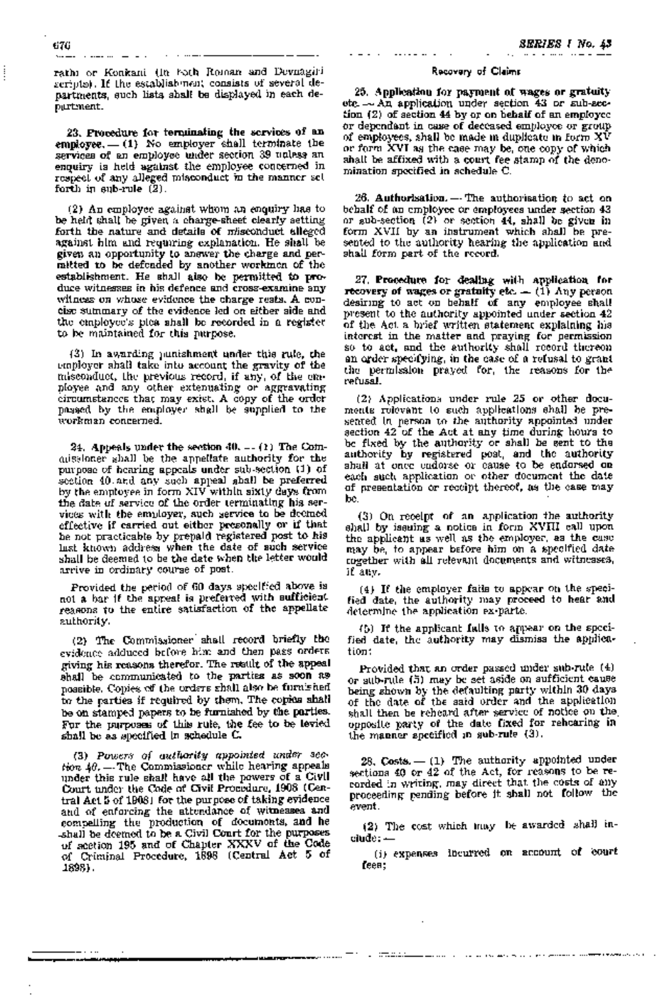rathi or Konkani (in both Roman and Devnagiri  $s$ cripts). If the establishment consists of several departments, such lists shall be displayed in each department.

23. Procedure for terminating the services of an employee.  $-$  (1) No employer shall terminate the services of an employee under section 39 unless an enquiry is held against the employee concerned in respect of any alleged misconduct in the manner set forth in  $\text{sub-rule}$   $(2)$ .

(2) An employee against whom an enquiry has to be held shall be given a charge-sheet clearly setting forth the nature and details of misconduct alleged against him and requiring explanation. He shall be given an opportunity to answer the charge and permitted to be defended by another workmen of the establishment. He shall also be permitted to produce witnesses in his defence and cross-examine any witness on whose evidence the charge rests. A concise summary of the evidence led on either side and the employee's plea shall be recorded in a register to be maintained for this purpose.

(3) In awarding punishment under this rule, the employer shall take into account the gravity of the misconduct, the previous record, if any, of the employee and any other extenuating or aggravating circumstances that may exist. A copy of the order passed by the employer. shall be supplied to the workman concerned.

24. Appeals under the section 40. -- (1) The Commissioner shall be the appellate authority· for the purpose of hearing appeals' under sub-section (1) of section 40, and any such appeal shall be preferred by the employee in form XIV within sixty days from the date of service of the order terminating his services with the employer, such service to be deemed effective if carried out either presonally or if that be not practicable by prepaid registered post to his last known address when 'the date of such service shall be deemed to be the date when the letter would arrive in ordinary course of post.

Provided the period of 60 days specified above is not a bar if the appeal is preferred with sufficient. reasons to the entire satisfaction of the appellate authority.

(2) The Commissioner' shall record briefly the evidence adduced before him and then pags orders giving his reasons therefoc. The result of the appeal shall be communicated to the parties as soon as' possible. Copies of the orders shall also be furnished to the parties if required by them. The copies shall be on stamped papers to be furnished by the parties. For the purposes of this rule, the fee to be levied shall be as specified in schedule C.

(3) Powers of authority appointed under sec $tion$   $4\theta$ .  $-$  The Commissioner while hearing appeals under this rule shall have all the powers of a ClVII Court under the Code of Civil Procedure, 1908 (Central Act 5 of 1908) for the purpose of taking evidence and of enforcing the attendance of witnesses and compelling the production of documents, and he -shall be deemed to be a Civil Court for the purposes -of section 195 and of Chapter XXXV of the Code of\_Criminal Procedure, 1898 (Central Act 5 of 1898). .

# Recovery of Claims

25. Application for payment of· wages or gratuity etc. - An application under section 43 or sub-section (2) of section 44 by or on behalf of an employee or dependant in case of deceased employee or group, of employees, shall be made in duplicate in form  $X\bar{V}$ or form XVI as the case may be, one copy of which shall be affixed with a court fee stamp of the denomination specified in schedule C.

26. Authorisation. -- The authorisation to act on behalf of an employee or employees under section 43 or sub-section  $(2)$  or section 44, shall be given in form XVII by an instrument which shall be presented to the authority hearing the application and shall form part of the record.

27. Procedure for dealing with application for recovery of wages or gratuity etc.  $=$  (1) Any person desiring to act on behalf of any employee shall present to the authority appointed under section 42 of the Act a brief written statement explaining his interest in the matter and praying for permission so to act, and the authority shall record thereon an order specifying, in the case of a refusal to grant the permission prayed for, the reasons for the refusal.

(2) Applications under rule 25 or other documents relevant to such applications shall be presented in person to the authority appointed under section 42 of the Act at any time during hours to be fixed by the authority or shall be sent to the authority by registered post, and the authority shall at once endorse or 'cause to be endorsed on each such application or other document the date of presentation or receipt thereof, as the case may (2) Applications under rule 25 or other denote rolevant to such applications shall be sented in person to the authority appointed used ion 42 of the Act at any time during hour be fixed by the authority or shall be sent t

 $(3)$  On receipt of an application the authority shall by issuing a notice in form XVIII call upon the applicant as well as the employer, as the case may be, to appear before him on a specified date together with all relevant documents and witnesses, if any.

(4) If the employer fails to appear on the specified date, the authority may proceed to hear and determine the application ex-parte.

(5) If the applicant falls to appear on the specified date, the authority may dismiss the application:

Provided that an order passed under sub-rule (4) or sub-rule (5) may be set aside on sufficient cause being shown by the defaulting party within 30 days of the date of the said order and the application shall then be reheard after service of notice on the opposite party of the date fixed for rehearing in the manner specified in sub-rule (3).

 $28.$  Costs.  $-$  (1) The authority appointed under sections 40 or 42 of the Act, for reasons to be recorded in writing, may direct that the costs of any proceeding pending before it shall not follow the event.

(2) The cost which may be awarded shall include: -

(i) expenses incurred on account of court. fees;

\_\_\_\_... . . . . .

 $. 1772222$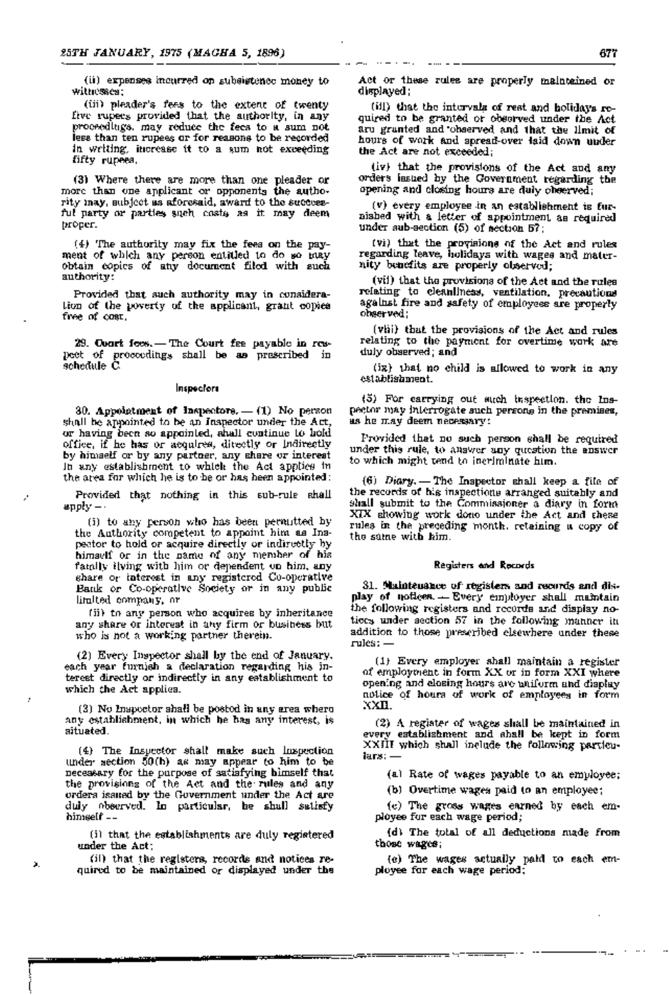(ii) expenses incurred on subsistence money to witnesses;

(iii) pleader's fees to the extent of twenty five rupees provided that the authority, in any proceedings, may reduce the fees to a sum not less than ten rupees or for reasons to be recorded in writing, increase it to a sum not exceeding fifty rupees.

(3) Where there are more than one pleader or more than one applicant or opponents the authority may, subject as aforesaid, award to the successful party or parties such costs as it may deem proper.

(4) The authority may fix the fees on the payment of which any person entitled to do so may obtain copies of any document filed with such authority:

Provided that such authority may in consideration of the poverty of the applicant, grant copies free of cost.

29. Court fees. - The Court fee payable in respect of proceedings shall be as prescribed in schedule C.

#### Inspectors

30. Appointment of Inspectors.  $-$  (1) No person shall be appointed to he an Inspector under the Act, or having been so appointed, shall continue to hold office, if he has: or acquires, directly or indirectly by himself or by any partner, any share or interest in any establishment to which the Act applies in the area for which he is to be or has been appointed:

Provided that nothing in this sub-rule shall  $\text{apply}-\cdot$ 

(i) to any person who has been permitted by the Authority competent to appoint him as Inspector to hold or acquire directly or indirectly by himself or in the name of any member of his family ilving with him or dependent on him, any share Or interest in any registered Co-operative Bank or Co-operative Society or in any public limited company, or

(ii) to any person who acquires by inheritance any share or interest in any firm or business but who is not a working partner therein.

(2) Every Inspector shall by the end of January, each year furnish a declaration regarding his interest directly or indirectly in any establishment to which the Act applies.

 $(3)$  No Inspector shall be posted in any area where any establishment, in which he has any interest, is situated.

(4) The Inspector shall make such inspection under section  $50(b)$  as may appear to him to be under section  $50(b)$  as may appear to him to be necessary for the purpose of satisfying himself that the provisions of the Act and the- rules, and any orders issued by the Government under the Act are . duly observed. In particular, he shall satisfy himself-

(i) that the establishments are duly registered under the Act;

 $(i)$  that the registers, records and notices requited to be maintained Or displayed under the

Act or these rules are properly maintained or displayed ;

 $\cdots$   $\cdots$   $\cdots$ 

(iii) that the intervals of rest and holidays required to be granted or observed under the Act are granted and observed and that the limit of hours of work and spread-over laid down under the Act are not exceeded; .

(iv) that the provisions of the Act and any orders issued by the Government regarding the opening and closing hours are duly observed;

 $(v)$  every employee in an establishment is furnished With a letter of appointment as required under sub-section  $(5)$  of section  $57$ ;

(Vi) that the proyisions of the Act and rules regarding leave, holidays with wages and mater- nity benefits are properly observed;

(vii) that the provisions of the Act and the rules relating to cleanliness, ventilation, precautions against fire and safety of employees are properly observed;

(viii) that the provisions of the Act and rules relating to the payment for overtime work are duly observed; and

(ix) that no child is allowed to work in any establishment.

(5) For carrying out such inspection, the Inspector may interrogate such persons in the premises, as he may deem necessary: .

Provided that no such person shall be required under this rule, to answer any question the answer to which might tend to Incriminate him.

 $(6)$  Diary. - The Inspector shall keep a file of the records of his inspections arranged suitably and shall submit to the Commissioner a diary in form XIX showing work done under the Act and these rules in the preceding month, retaining a copy of the same with him.

#### Registers and Records <sup>~</sup>\_. .

31. Maintenance of registers and records and display of notices. - Every employer shall maintain the following registers and records and display notices under section 57 in the following manner in addition to those prescribed elsewhere under these  $_{\rm rules}$  ...

(1) Every employer shall maintain a register of employment in form XX or in form XXI where opening and closing hours are uniform and display notice of hours of work of employees in form XXII.

(2) A register of wages shall be maintained in every establishment and shall be kept in form XXIII which shaJI include the following particulars: -

(a) Rate of wages payable to an employee;

(b) Overtime wages paid to an employee;

(c) The gross wages earned by each employee for each wage period;

(d) The total of all deductions made from those wages;

(e) The wages actually paid to each employee for each wage period;

<del>..............</del> \*\*: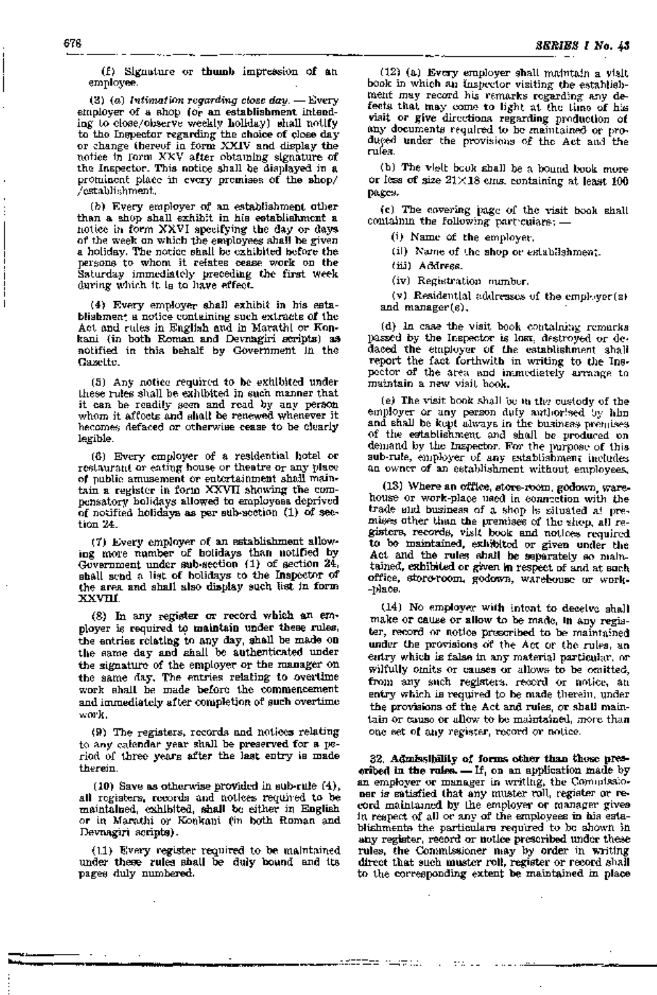(f) Signature or thumb impression of an employee.

(3) (a) Intimation regarding close day.  $-$  Every . employer of a shop (Qr an establishment intending to close/observe weekly holiday) shall notify to the Inspector regarding the choice of close day or change thereof in form XXIV and display the notice in form XXV after obtaining signature of the Inspector. This notice shall be displayed in a prominent place in every premises of the shop/ / establishment.

(b) Every employer of an establishment other than a shop shall exhibit in his establishment a notice in form XXVI specifying the day or days a holiday. The notice shall be exhibited before the persons to whom it relates cease work on the Saturday immediately. preceding the first week during which it is to have effect.

 $(4)$  Every employer shall exhibit in his establishment a notice containing such extracts of the Act and rules in English and in Marathi or Konkani ('in both Roman and Devnagiri scripts). as notified in this behalf by Government in the Gazette.

(5) Any notice required to be exhihited under these rules shall be exhibited in such manner that it can be readily seen and read by any person whom it affects and shall be renewed whenever it becomes defaced or otherwise cease to be clearly legible.

(6) Every employer of a residential hotel or restaurant or eating house or theatre or any place of public amusement or entertainment shall maintain a register in form XXVII showing the compensatory holidays allowed to employees deprived. of notified holidays as per sub-section  $(1)$  of section 24.

(7) Every employer of an establishment allowing more number of holidays than notified by Government under sub-section (1) of section 24, shall send a list of holidays to the Inspector of the area and shaH also display such list in form xxvm.

(8) In any register or record which an employer is required to maintain under these rules, the entries relating to any day, shall be made on the same day and shall be authenticated under the signature of the employer or the manager on the same day. The entries relating to overtime work shall be made before the commencement and immediately after completion of such overtime work.

(9) The registers, records and notices relating to any calendar' year shall be preserved for a period of three years after the last entry is made therein.

 $(10)$  Save as otherwise provided in sub-rule  $(4)$ , all registers, records and notices required to be maintained, exhibited, shall be either in English or in Marathi or Konkani (in both Roman and Devnagiri scripts).

(11) Every register required to be 'maintained under these rules shall be duly bound and its pages duly numbered.

(12) (a) Every employer shall maintain a visit book in which an Inspector visiting the establishment may record his remarks regarding any defects that may come to light at the time of his visit or give directions regarding production of any documents required to he maintained or produced under the provisions of the Act and the rules.

(b) The vielt book shall be a bound book more or less of size  $21 \times 18$  cms. containing at least  $100$ pages.

('c) The covering page of the visit book shall containin the following particulars: -

(1) Name of the employer.

(ii) Name of the shop or establishment.

(iii) Address.

(iv) Registration number.

(v) Residential addresses of the employer(s) and manager(s). .

(d) In case the visit book containing remarks passed by the Inspector is lost, destroyed or dedaced the employer of the establishment shall report the fact forthwith in writing to the Inspector of the area and immediately arrange to maintain a new visit book.

(e) The visit book shall be in the custody of the employer or any person duly authorised by him and shall be kept always in the business premises of the establishment and shall be produced on demand by the Inspector. For the purpose of this sub-rule, employer of any establishment includes an owner of an establishment without employees.

 $(13)$  Where an office, store-room, godown, warehouse or work-place used in connection with the trade and business of a shop is situated at premises other than the premises of the shop, all registers, records, visi:t book and notices required to be maintained, exhilbited or given under the Act and the rules shall be separately so maintained, exhibited or given in respect of and at such office, store-room, godown, warehouse or work--place.

(14) No employer with intent to deceive shall make or cause or allow to be made, in any register, record or notice prescribed to be maintained under the prOvisions oif the Act or the rules, an entry which is false in any material particular, or wilfully omits or causes or allows, to be omitted, from any such registers, record or notice, an entry which is required to be made therein, under the provisions of the Act and rules, or shall maintain or cause or allow to be maintained, more than one set of any register, record or notice.

32. Admissibility of forms other than those prescribed in the rules.  $=$  If, on an application made by an employer or manager in writing, the Commissioner is satisfied that any muster roll, register or record maintained by the employer or manager gives in respect of all or any of the employees in his establishments the particulars required to be shown in any register, record or notice prescribed under these rules, the Commissioner may by order in writing direct that such muster roll, register or record shall to the corresponding extent be maintained in place

arittar napa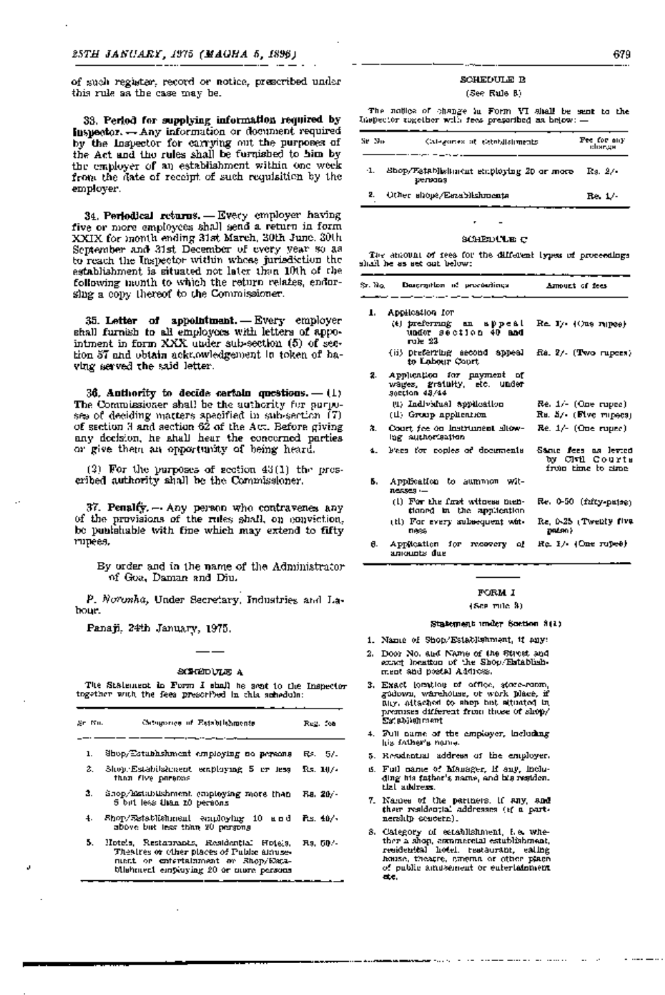of such register, record or notice, prescribed under this rule as the case may be.

33. Period for supplying information required by Inspector. - Any information or document required by the Inspector for carrying out the purposes of the Act and the rules shall be furnished to him by the employer of an establishment within one week from the date of receipt of such requisition by the employer.

 $34.$  Periodical returns. - Every employer having five or more employees shall send a return in form XXIX for month ending 31st March, 30th June, 30th September and 31st December of every year so as to reach the Inspector within whose jurisdiction the establishment is situated not later than 10th of the following month to which the return relates, endorsing a copy thereof to the Commissioner.

35. Letter of appointment.  $-$  Every employer shall furnish to all employees with letters of appointment in form XXX under sub-section (5) of section 57 and obtain acknowledgement in token of having served the said letter.

36. Authority to decide certain questions.  $-$  (1) The Commissioner shall be the authority for purposes of deciding matters specified in sub-section  $(7)$ of section 3 and section 62 of the Act. Before giving any decision, he shall hear the concerned parties or give them an oppmtunilty of being heard.

(2) For the purposes of section  $43(1)$  the prescribed authority shall 'be the Commissioner.

 $37.$  Penalty.  $-$  Any person who contravenes any of the provisions of the rules shall, on conviction, be punishable with fine which may extend to fifty rupees.

By order and in the name of the Administrator 'Of Goa, Daman and Diu.

*P. Noronha,* Under Secretary, Industries and Labour.

Panaji, 24th January, 1975.

### SCHEEDLULE A

 $-$ 

The Statement in Form I shall be sent to the Inspector together with the fees prescribed in this scihedule:

| Sr Ku. | Categories of Establishments.                                                                                                                                           | Reg. foa  |
|--------|-------------------------------------------------------------------------------------------------------------------------------------------------------------------------|-----------|
| ı.     | Shop/Estabhshment employing no persons                                                                                                                                  | Rs. 57.   |
| 2.     | Shop, Estabilzhment employing 5 or less<br>than five paracos                                                                                                            | Rs. 107.  |
| З.     | Shop/Extabilishment capinging more than<br>5 bill less than 10 persons                                                                                                  | F.a. 20/- |
| 4.     | Shop/Establishmani employing 10 and<br>above but less than 20 persons                                                                                                   | P.s. 40/- |
| 5.     | Hotels, Restaurants, Residential Hotels,<br>Thealres or other places of Public almose-<br>mmet er entertalmment av Rhop/Maga-<br>blishment employing 20 or more persons | Rs. 60.4  |

# SCHEDULE B

(See, Rule 8)

The notice of change in Form VI shall be sent to the Inspector together with fees prescribed as below: -

| Se No- | Calegories of eletridistiments.                     | Fee for any<br>dhartge |
|--------|-----------------------------------------------------|------------------------|
| ٠1.    | Shop/Fatablishment employing 20 or more<br>32479309 | Rs. 2/-                |
| 2.     | Other shops/Essablishments                          | Re. 1/-                |

# 'stOHEDUlLE C

The amount of fees for the different types of proceedings shall he as set out below:

| San Nig | Dascrattion of proceedings                                                    | Amount of fees.                                              |
|---------|-------------------------------------------------------------------------------|--------------------------------------------------------------|
| ı. I    | Application for                                                               |                                                              |
|         | (t) preferrang an appeal<br>under section 40 and<br>ru)e 23.                  | $Re$ $1/4$ $($ $Re$ $n$ $n$ $pe$ $e)$                        |
|         | (ii) preferring second sppeal<br>to Lobour Court.                             | $Ra$ , $2/-$ (Two rupces)                                    |
|         | 2. Application for payment of<br>wages, gratulty, etc. under<br>section 48/44 |                                                              |
|         | (1) Individual application                                                    | Re. 1/- (One rupee)                                          |
|         | (1) Group appliention                                                         | Rs. 5/- (Flvc rupecs)                                        |
| з.      | Court fee on Instrument show-<br>ing suphorisation                            | $Re. 1/- (One rule)$                                         |
| 4.      | Fees for copies of documents                                                  | Sante fees na levied<br>by Ciril Courts<br>from time to sime |
| Б.      | Application to aummon wit-<br>nexses —                                        |                                                              |
|         | (1) For the first witness nem-<br>tioned in the application.                  | Re. 0-50 (fzfty-pajse)                                       |
|         | (ii) For every subsequent wit-<br>0886                                        | Re, 0-25 (Twenty five<br>DRESO >                             |
| θ.      | Application for recovery<br>۵Ł<br>anounts due                                 | Re I/ (One rupes)                                            |

## FORM I

(See rule 3)

#### Sta.tement under Section 3(1)

- 1. Name of Shop/Establi'shment, if any:
- 2. Door N'O. and Name of the Streeil: and exact location of the Shop. Establishment and postal Address;
- 3. Exact lomation of office, store-room, g'Odown, warehouse, or w'Ork place, ilf any, attached to shop but situated in premises different from those of shop/ Establishment.
- 4. Full name of the employer, including his father's name.
- 5. Residential address of the employer.
- 6. Full name 'Of Manager, if, any. !inJc1uding his father's name, and his residen $tlz\bar{l}$  address.
- 7. Names of the partners, if any, and their residenti:al addresses (1f a ,partnership concern). '
- 8. Category of establishment, i.e. whether a shop, commercial estublishment, residentital hotel, restaurant, eating house, theatre, cinema or (lither place of public amusement or entertalinmen't eil:e.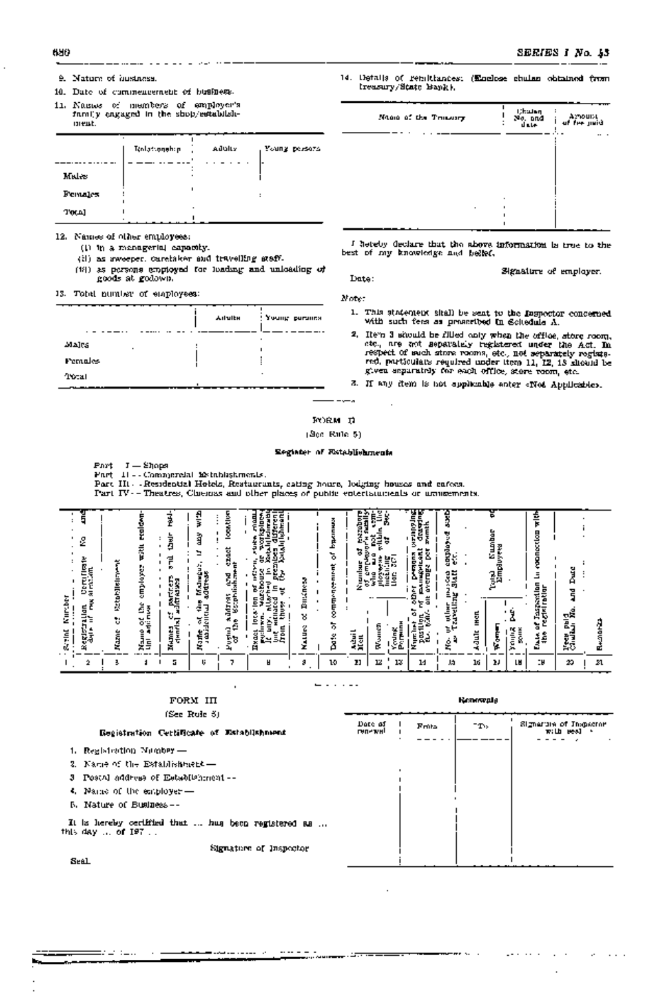#### 680

- 9. Nature of hustness.
- 10. Date of commencement of business.
- 11. Names of members of employer's family engaged in the shop/estabilishment.

|             | Tenlatongghap.<br>٠ | Adulty | Уониу режета |
|-------------|---------------------|--------|--------------|
| Males       | ٠                   |        |              |
| Females     |                     |        |              |
| <b>TWAI</b> | $\sim$              | ٠      |              |

12. Names of other employees:

- (1) In a managerial capacity.
- (ii) as aweeper, carefaker and travelling staff.
- (18) as persons employed for loading and unloading of goods at godown.

13. Total number of employees:

|             | <b>Ailulth</b> | Young persons |
|-------------|----------------|---------------|
| Majes.<br>٠ |                |               |
| Females.    |                |               |
| Tropan      |                |               |

14. Details of remittances: (Enclose chains obtained from Ireasury/State Bank).

| Nine of the Transary |   | ijkateg i<br>. .<br>No. and<br>Inte | Arnount<br>Sier paid<br>i<br>. |
|----------------------|---|-------------------------------------|--------------------------------|
|                      |   |                                     |                                |
|                      |   |                                     |                                |
| ٠                    | ٠ |                                     |                                |
|                      |   |                                     |                                |

I hereby declare that the above information is true to the best of my knowledge and hellef.

Signature of employer. Date:

Note:

- 1. This statement shall be sent to the lospector concerned with such fees as presented in Scitedule A.
- 2. Item 3 should be filled only when the office, store room, rev a second be reduced by registered under the Act. In the anti-<br>neepect of such stress rooms, etc., not separately registered<br>respect of such stress rooms, etc., not separately registered,<br>red, particulate required under
- 3. If any item is not applicable enter «Not Applicable».

FORM D

 $-\sqrt{2}$ 

(Sec. Rule, 5)

#### Register of Establishments

Part J - Shops Part 11 - Comnjerelal Establishments.

FORM III

n andere verden in d

Part III - Residential Holels, Restaurants, cating hours, lodging houses and enfors.

Part IV -- Theatres, Chienas and other places of public votertamments or maintements.

| α<br>73<br>ᆽ<br>۰<br>ы<br>s.<br>≣<br>指<br>Ł<br>٠.<br>ப<br>븕<br>ت<br>$\qquad \qquad$<br>⇁<br>ш. | ∽<br>e<br>E<br>٠<br>▵<br>s<br>정본<br>94<br>럃 | л<br>⋴<br>Gэ<br>MB.<br>ø<br>2e<br>הי<br>٠.<br>ہے ت<br>気気<br>į<br>Ħ | ಀ<br>모<br>탄중<br>┍<br>ಕ<br>≔<br>Ξŏ<br>M.<br>ᆓ<br>∼.<br>医前<br>Ф<br>₩<br>c<br>=<br>↩<br>. .<br>G<br>٠<br>ਵਸਿੰ<br>÷<br>顏<br>Īз<br>z<br>∸ | ∘<br>⋼<br>₿<br>ğ<br>64S<br>Ħ<br>٠ | A<br>8 | ∼<br>۰<br>ō<br>ں<br>÷<br>۰<br>ρ | ы<br>⋚<br>링<br>е<br>┕<br>а<br>=<br>=<br>ц<br>-<br>۰<br>۰,<br>ł<br>-11 | š<br>Ė<br>ğ<br>ö<br>Η,<br>×<br>×<br>g<br>9<br>1활률<br>c<br>7<br>ŠĒ<br>ᄚ | E<br>Ē<br>Ð<br>홿<br>Ē<br>5<br>v<br>۵<br>u<br>-<br>ш<br>Ē<br>Ĩ<br>٥<br>ᡓ<br>۰<br>۰<br>c<br>▫<br>м<br>ø<br>ΑS<br>.F | u<br><br>o<br>Ź,<br>٠<br>រុទ្ធ<br>≛<br>⊷<br>뤓<br>가르<br>o. | ន<br>R<br>Ł<br>œ<br>퍫<br>5<br>Ξ<br>ğ<br>۰<br>≺<br>в | Ĕ<br>į<br>∽ | ÷<br>в<br>5<br>능<br>≖<br>o<br>٠<br><b>Record</b><br>м<br>리.<br>15<br>∼<br>o<br>្មុំ<br>∼ | э<br>τĀ<br>÷.<br>ᄗ<br><b>B-1</b><br>. .<br>Šΰ |   |
|------------------------------------------------------------------------------------------------|---------------------------------------------|--------------------------------------------------------------------|--------------------------------------------------------------------------------------------------------------------------------------|-----------------------------------|--------|---------------------------------|-----------------------------------------------------------------------|------------------------------------------------------------------------|-------------------------------------------------------------------------------------------------------------------|-----------------------------------------------------------|-----------------------------------------------------|-------------|------------------------------------------------------------------------------------------|-----------------------------------------------|---|
|                                                                                                |                                             | 5                                                                  | U                                                                                                                                    | н                                 |        | 10                              | 11                                                                    | 12<br>13                                                               | 14                                                                                                                | 灿                                                         | 16<br>IJ                                            | ſR          | ÷₩,                                                                                      | 29                                            | n |

 $-$ 

# (See Role 3) Signarum of Inspector<br>with seal  $\rightarrow$ Date of<br>renewal 'n. Frita Registration Certificate of Establishment 1. Registertion Number -2. Name of the Establisherset -3 Postal address of Establishment --4. Name of the employer-5. Nature of Business --It is hereby certified that ... has been registered as ... this day ... of  $197...$ Signature of Inspector

Seal

=: -: :-..

# **Renognia**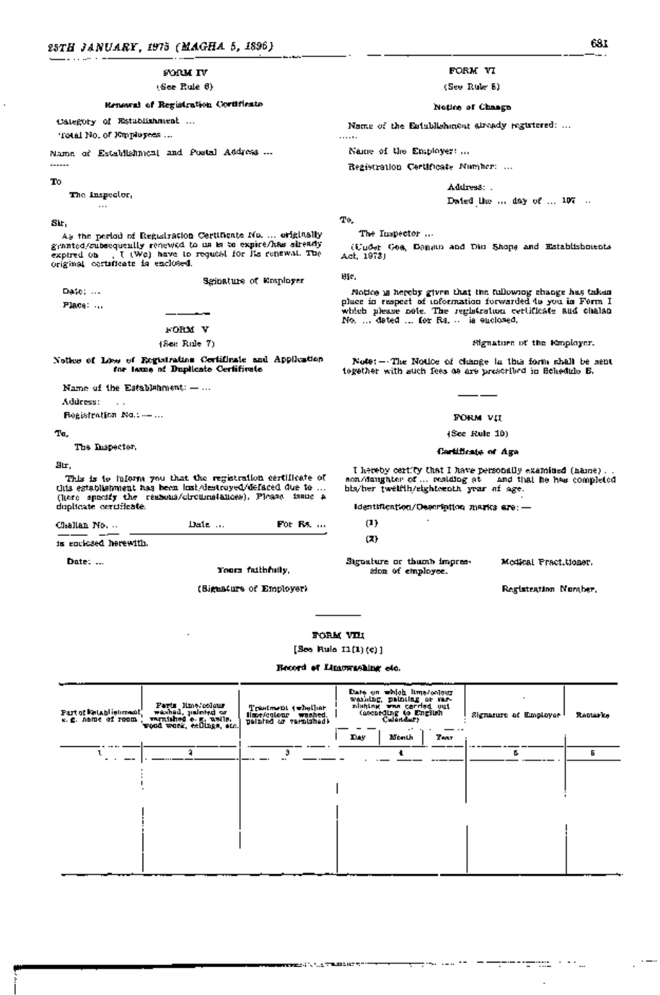#### FOR¥'IV

#### (See Rule 6)

Renewal of Registration Certificate

# category of Establishment ...

Total No. of Employees ...

Name of Establishment and Postal Address ...

# $1.1.1.1$ To

The Inspector,  $\cdots$ 

# Sir,

As the period of Registration Certificate No .... originally granted/subsequently renewed to us is to expire/has already<br>expired on [ ] (We) have to request for its renewat. The I (We) have to request for its renewal. The original certificate is enclosed.

Sginature of Employer

Date: ... Place: ...

FORM V

### (See Rule 7)

Notice of Loss of Registration Certificate and Application for Leme of Duplicate Certificate

Name of the Establehment:  $-$  ...

Address: - ...

Registration No.: --- ...

#### To,

The Inspector,

#### Sir,

This is to inform you that the registration certificate of this establishment has been lost/destroyed/defaced due to ... (here specify 'the reasons/circumstances). Please issue a duplicate certificate.

| Challan No. | Date | For Rs. |  |
|-------------|------|---------|--|
|             |      |         |  |

is enclosed herewith.

Date: ... Note: ... Yours faithfully,

(Signature of Employer) and the contraction of Employer (Registeration Number,

FORM VI

(See Rule 8)

#### Notice of Change

Name of the Establishment already registered: ...

Name of the Employer: ...

Registration Certificate Number: ...

Address: ...

Dated the  $\dots$  day of  $\dots$  107  $\dots$ 

To,

. . . . . .

The Inspector ...

(Under Goa; Daman and Diu Shops and Establishments Act, 1973)

Sir,

Notice is hereby given that the following change has taken place in respect of information forwarded to you in Form I which please note. The registration certificate and chalan No. ... dated ... for Rs. .. is enclosed.

#### Signature of the Employer.

Note: $-$  The Notice of change in this form shall be sent together with such fees as are prescribed in Schedule B.

#### FORM VII.

#### (See Rule 10)

#### Certificate of Age

I hereby certify that I have personally examined (name) ... son/daughter of ... residing at ... and that he has completed his/her tweIfth/eighteenth year of age.

Identification/Description marks are: -

جماليت المحرج

(1)

(2)

Signature or thumb impression of employee.

Medical Practitioner.

teratoria al

FORM VIII

 $[$ See Rule  $11(1)(c)$ ]

#### Record of IAmewasbing etc.

| Faris line/colour<br>washad, jiminiyd cr<br>Part of Entablishment)<br>remished e.g. wells.<br>wood work, eclings, am.<br>s. g. name of room. | Trastment (whether<br>Hare/colour washed.<br>themsioner to batalog | Date on which lime/colour<br>washing, painting or mr-<br>alshing was carried out<br>(according to English<br>Day.<br>Month<br><b>Taxt</b> | Signature of Employer <sup>1</sup> | Ramarks |
|----------------------------------------------------------------------------------------------------------------------------------------------|--------------------------------------------------------------------|-------------------------------------------------------------------------------------------------------------------------------------------|------------------------------------|---------|
|                                                                                                                                              | э                                                                  |                                                                                                                                           | к.                                 | Б       |
|                                                                                                                                              |                                                                    |                                                                                                                                           |                                    |         |
|                                                                                                                                              |                                                                    |                                                                                                                                           |                                    |         |
|                                                                                                                                              |                                                                    |                                                                                                                                           |                                    |         |
|                                                                                                                                              |                                                                    |                                                                                                                                           |                                    |         |
|                                                                                                                                              |                                                                    |                                                                                                                                           |                                    |         |
|                                                                                                                                              |                                                                    |                                                                                                                                           |                                    |         |

**はかない いっしょ するように オオーバ**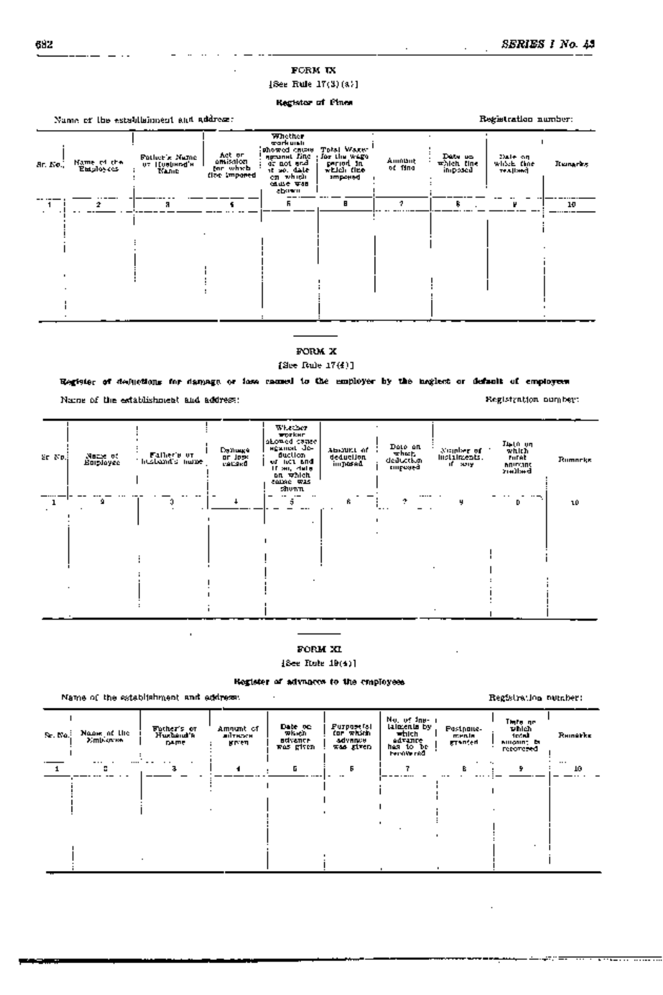# FORM IX

#### [See Rule 17(3)(a)]

### Register of Fines

|                 |                           | Name of the establishment and address: |                                                             | Registration number:                                                                                                                  |                                                                  |                   |                                  |                                     |             |
|-----------------|---------------------------|----------------------------------------|-------------------------------------------------------------|---------------------------------------------------------------------------------------------------------------------------------------|------------------------------------------------------------------|-------------------|----------------------------------|-------------------------------------|-------------|
| <b>Ar. No.,</b> | Name of the<br>Entyloyees | Fotber's Name<br>UT IEURUHAd'H<br>Name | Act or<br>amisalon<br>Mr which<br>fize impo <del>ne</del> d | <b>Whether</b><br>work under<br>showed cause<br><b>Agriculture</b> Filter<br>at not and<br>it so, date<br>en which<br>低出台 英語<br>abown | Total Waxer<br>Joa Lim Wego<br>period in<br>videl des<br>ampowed | Amnant<br>or fina | Data so<br>which fine<br>imposed | Dale on<br>which that<br>TEA [ISBN] | It unarity. |
|                 | 2                         | я                                      |                                                             | ь.                                                                                                                                    | в                                                                | 2.                | 8.                               |                                     | 10          |
|                 |                           |                                        |                                                             |                                                                                                                                       |                                                                  |                   |                                  |                                     |             |
|                 |                           |                                        |                                                             |                                                                                                                                       |                                                                  |                   |                                  |                                     |             |
|                 |                           |                                        |                                                             |                                                                                                                                       |                                                                  |                   |                                  |                                     |             |
|                 |                           |                                        |                                                             |                                                                                                                                       |                                                                  |                   |                                  |                                     |             |
|                 |                           |                                        |                                                             |                                                                                                                                       |                                                                  |                   |                                  |                                     |             |
|                 |                           |                                        |                                                             |                                                                                                                                       |                                                                  |                   |                                  |                                     |             |

# FORM X

# [See RuIe 17(4)]

# Register of deductions for damage or loss caused to the employer by the neglect or default of employees

Name of the establishment and address:

| Sr No.) | Nazie of<br>Employee | Faller's or<br>huikand's name | Глузинде<br>ar Jose<br>verska | Whether<br>wrysker i<br>abowed cames<br>agamat de-<br>duction<br>er act and<br>If an, date<br>an which<br>came was<br>shown. | abourt of<br>deducijon<br>im posad | Dato an<br>which.<br>deduction<br>empoged | Number of<br>instainsents.<br>if sory | Մ⊥թէն ∪ղ<br>which<br>Furat<br><b>MODY, 105</b><br><b>badfair</b> | Rumneks |
|---------|----------------------|-------------------------------|-------------------------------|------------------------------------------------------------------------------------------------------------------------------|------------------------------------|-------------------------------------------|---------------------------------------|------------------------------------------------------------------|---------|
|         | 9                    |                               |                               | $\overline{\phantom{0}}$<br><br>ы                                                                                            | 6.                                 | $\cdots$<br>÷.<br>---                     |                                       | D                                                                | ιû      |
|         |                      |                               |                               |                                                                                                                              |                                    |                                           |                                       |                                                                  |         |
|         |                      |                               |                               |                                                                                                                              |                                    |                                           | $\cdot$                               |                                                                  |         |

# FORM XI

[See Rule 19( 4)l

#### Register of advances to the employees

Name of the establishment and address:

# No. of Ins-<br>Father's or Amount of Date on Purpose(s) talments by  $\mathbf{I}$ : Date on Postpone-<br>| which ments total Remarks<br>| singone: stocal ments<br>| recovered | Sr. No. Name of the Husband's advanced to the Husband's advanced to the Husband's advanced to the Middle - which i<br>Sr. No. Name of the Husband's advance which is advanced to the Husband's and Husband's internal of the Midd Employee name and given advance advance<br>Employee name given was given was given has to be<br>Persivened  $\begin{bmatrix} 8 & 1 \\ 1 & 1 \end{bmatrix} = \begin{bmatrix} 9 & 1 \\ 1 & 1 \end{bmatrix} = \begin{bmatrix} 1 \\ 1 \end{bmatrix}$ --- ---.-- <sup>1</sup>2 3 4 5 6 <sup>7</sup> - -, , and the same state  $\mathbf{L}^{\mathbf{L}}$

Registration number:

Registration number: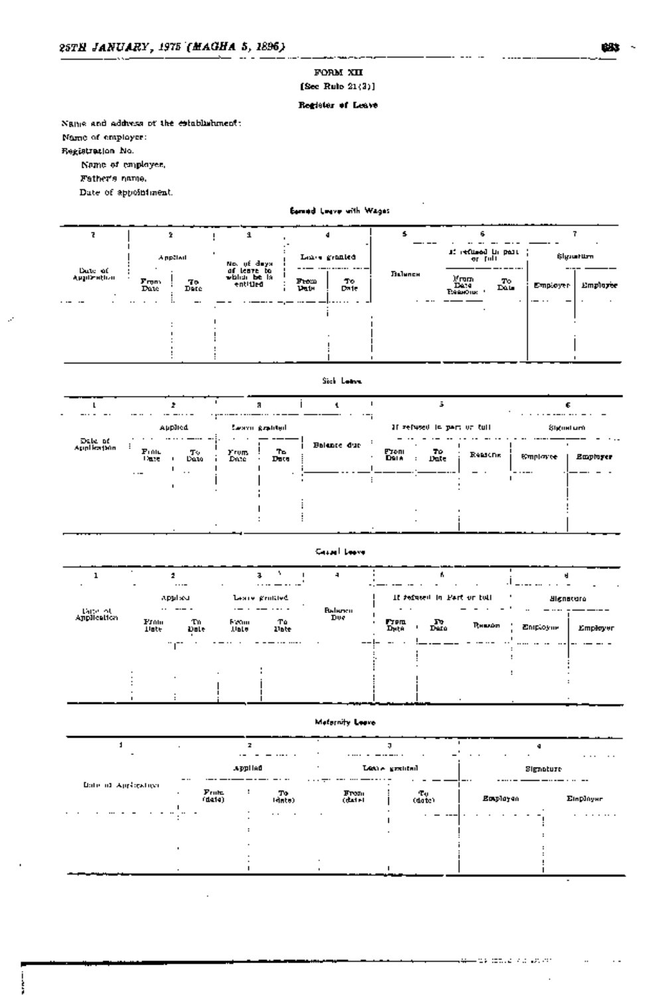# FORM XII [Sec Rule  $21(3)$ ]

# Register of Leave

Name and address of the establishment:

Name of employer:

Registration No.

Name of employee,

Father's name.

Date of appointment.

# Earned Leave with Wages

|                        |                           |             | я                                                      |                                                 |         |                                                                                  |                                       |
|------------------------|---------------------------|-------------|--------------------------------------------------------|-------------------------------------------------|---------|----------------------------------------------------------------------------------|---------------------------------------|
| Date of<br>Application | A pp3tail<br>From<br>Date | To.<br>Date | No. of days.<br>of leave to<br>which be la<br>entitled | Lance granted<br><br>Tо<br>From<br>Put<br>Date. | Льінпсн | af refused in part<br>or full<br>)/rum<br>Date<br>Essentius<br>$\frac{T_0}{T_0}$ | §lgu∎t⊔m<br>Employee<br>Employer<br>. |

# Sich Lettra

|                        | Applied                                  | Leaving graduated           |                  | If refused in part or tull.           | Signatum.                     |
|------------------------|------------------------------------------|-----------------------------|------------------|---------------------------------------|-------------------------------|
| Date of<br>Application | $\mathbf{F}$ rnic<br>тv<br>Data<br>Date: | ъ<br>Frum.<br>Date.<br>Data | Balance due<br>٠ | тo<br>From<br>Dela<br>Reasons<br>Dute | <b>Symptonice</b><br>Employer |
|                        | . .<br>$\cdot$ $\cdot$ $-$               |                             |                  |                                       |                               |
|                        |                                          |                             |                  |                                       |                               |
|                        |                                          | $ -$                        |                  |                                       |                               |

# Cased Leave

|                        |                      | $\cdots$     |                      | $\cdots$       |                          |                          |                             |                |                      |          |
|------------------------|----------------------|--------------|----------------------|----------------|--------------------------|--------------------------|-----------------------------|----------------|----------------------|----------|
|                        |                      | Applied<br>  |                      | Leary grattled |                          | $\overline{\phantom{a}}$ | If refused in Part or full. |                | <b>Algnetura</b><br> |          |
| Lare of<br>Application | From<br><b>Tinge</b> | T'n.<br>Date | Fream<br><b>Univ</b> | Tά<br>liste    | <b>Bullers</b> in<br>Due | Гтош<br>Диță             | $\Gamma_{\rm{min}}$         | <b>Привлек</b> | Eniployme            | Employer |
|                        |                      |              |                      | .              |                          |                          |                             |                |                      |          |
|                        |                      |              |                      |                |                          |                          |                             |                |                      |          |
|                        |                      |              |                      |                |                          |                          |                             |                |                      |          |

# Meternity Leave

|                      |          | $\cdot$ $-$        | .                                     | $\cdots$                 |               |              | ø         | $\cdots$<br>$\cdot$ $\cdot$ |
|----------------------|----------|--------------------|---------------------------------------|--------------------------|---------------|--------------|-----------|-----------------------------|
|                      | $\cdots$ |                    | Applied                               |                          | Leave granted |              | Signature |                             |
| Date of Application. | $\cdot$  | $F$ ruha<br>(date) | ा७<br>(नोत्तरेस)                      | Fron:<br>(date)          |               | To<br>(date) | Employen  | <b>Einplayer</b>            |
|                      |          |                    | $\cdot$ .<br>$\overline{\phantom{a}}$ | $\overline{\phantom{a}}$ |               |              |           | .                           |
|                      |          |                    |                                       |                          |               |              |           |                             |
|                      |          |                    |                                       |                          |               |              |           |                             |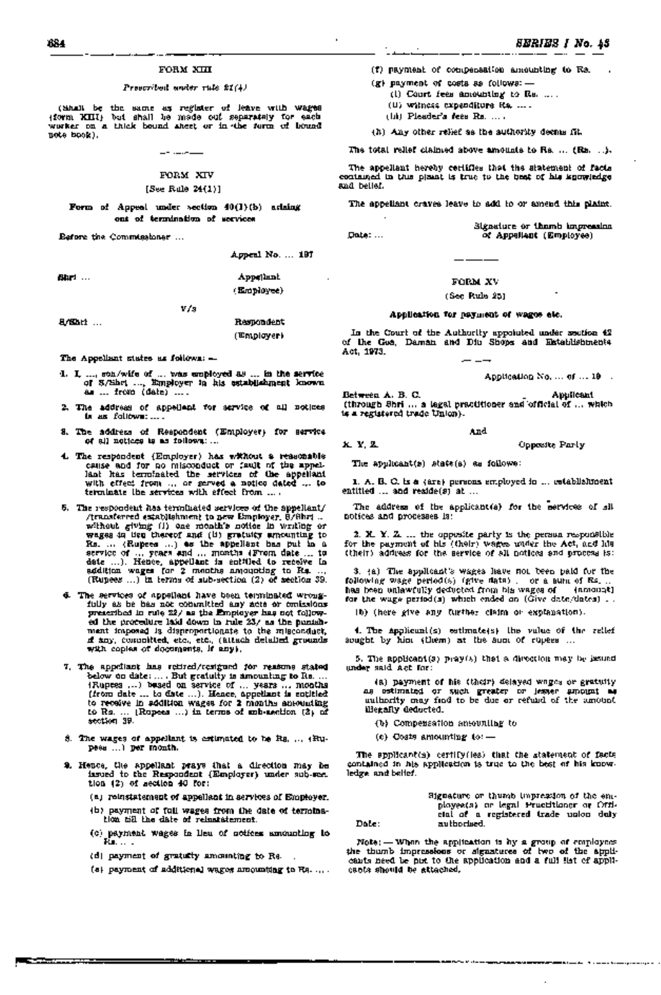#### FORM XIII

#### *Prescribed under rule* 21 (4)

( Shall be the same as register of leave with wages' (form XIII) but shall be made out separately for each worker on a thick bound sheet or in the form of bound note book).

#### FORM XIV

#### [See Rule 24(1)]

Form of Appeal under section 40(1) (b) arising out of termination of services

Before the Commissioner ...

Appeal No. ... 197

| ВЩ⊓ … | Appelmat   |
|-------|------------|
|       | (Employee) |

VI's

# SjlShri ... 'Respondent (Employer)

The Appellant states as follows: -

- 1. I,  $\ldots$ , son/wife of  $\ldots$  was employed as  $\ldots$  in the service of  $3/3$ het,  $\ldots$ , Employer in his establishment known Employer in his establishment known as ... from (date) ....
- 2. The address of appellant for service of all notices is as follows: .....
- 3. The address of Respondent '(Employer) for service of all notices is as follows: ...
- 4. The respondent (Employer) has without a reasonable cause and for no misconduct or fault of the appellant has terminated the services of the appellant with effect from ... or served a notice dated ... to<br>terminate the services with effect from ....
- 5. The respondent has terminated services of the appellant/<br>fransferred examiliations to new Employer, 8/8hrt... Jltransferred establishment to new Employer, S/Shri ... without giving (i) one month's. notice. in writing or wages ,in lieu thereof and (11) gratuity amounting to Rs. ... (Rupees ... ) as the appellant has put in a service of ... years and ... months (From. date ... to date ... ). Hence, appellant is entitled to receive in addition wages for 2 months amounting to Rs. . .. (Rupees ... ) in terms of SUb-section (2) of section 39.
- 6. The services of appellant have been terminated wrongfully as he has not committed any acts or omdssions prescl'libedin rule 22/ as the Employer has not fOllowed the procedure laid down in rule 23/ as the punishment imposed is disproportionate to the misconduct, if any, committed, etc:, etc., (attach detailed grounds with copies of documents, if any).
- 7. The apprilant has retired/resigned for reasons stated<br>below on date:.... But gratuity is amounting to Re....<br>(Rupees ...) besed on service of ... years ... months<br>(from date ... to date ...). Hence, appellant is cotliti to receive in addition wages for 2 months amounting to Rs. ... (Rupees ...) in terms of sub-section (3) of section 39.
- 8. The wages of appellant is estimated to be Rs. ... (Rupees ... ) per month.
- 9. Hence, the appellant prays that a direction may be issued to the Respondent (Employer) under sub-seetion (2) of section 40 for:
	- .(a) reinstatement of appellant lin services of Employer.
	- (0) payment of full wages from the date of termination till the date of reinstatement.
	- (c) payment wages in lieu of notices amounting to Rs.....
	- (d) payment of gratuity amounting to  $Re$ ...
	- (a) payment of additional wages amounting to Rs......

(f) payment of compensation amounting to Rs. (g) payment of costs as follows:-

- (i) Court fees amounting to Rs.
- (11) witness expenditure Rs .....
- (Iii) Pleader's fees Rs, ...
- (h) Any other reHef as the authority.deems fit.

The total relief claimed above amounts to Rs. ... (Ra. ...).

The appellant hereby certifies that the statement of facts contained in this plaint is true to the best of his knowledge and belief.

The appellant craves leave to add to or amend this plaint.

Signature or thumb impression<br>  $\alpha$  Appellant (Employee)

#### FORM XV

#### $(Sec$  Rule  $251$

#### Application for payment of wages etc.

In the Court of the Authority appointed under section 42 of the Goa, Daman and Diu ,ShOps and Establlshments Act, 1973.

Application No. ... of ... 19 ...

Between A. B. C. Applicant (through Shri ... a legal practitioner and 'officIal of ... which is a registered trade Union).

#### And

X; Y.Z. Opposite Party

The applicant(s) state(s) as follows:

1. A. B. C. is a (are) persons employed in ... establishment entitled  $\ldots$  and reside(s) at  $\ldots$ 

The address of the applicant(s) for the services of all notices and processes is:

2. X.Y. Z. ... the opposite party is the person responsible for the payment of his (their) wages under the Act, and his (their) address for the service of all notices and process is:

3. (a) The applicant's wages have not been paid for the following wage period(s) (give data) . or a sum of  $Rs$  ... has been unlawfully deducted from his wages of '" (amount) for the wage  $period(s)$  which ended on  $(Give data/dates)$ .

(b) (here give any further claim or explanation).

4. The applicant(s) estimate(s) the value of the relief sought by him (them) at the sum of rupees .. ,

5. The applicant(s) pray(s) that a direction may be issued under said Act for:

(a) payment of his (their) delayed wages or gratUity as estimated or such greater or lesser amount as authority may find to be due or refund of the amount illegally deducted.

(b) Compensation amounting to

(c) Costs amounting to:-

The applicant(s) certify (ies) that the statement of facts contained in his. application is true to the best of his knowledge and belief.

|       | Signature or thumb impression of the eni- |  |
|-------|-------------------------------------------|--|
|       | ployeets) or legal Practitioner or Offi-  |  |
|       | cial of a registered trade union duly     |  |
| Dole: | authorised.                               |  |

Note: - When the applicatIon is by a group of employees the thumb impressions or signatures of two of the app1icants need be put to the applicatIon and a full list of applicants should be attached.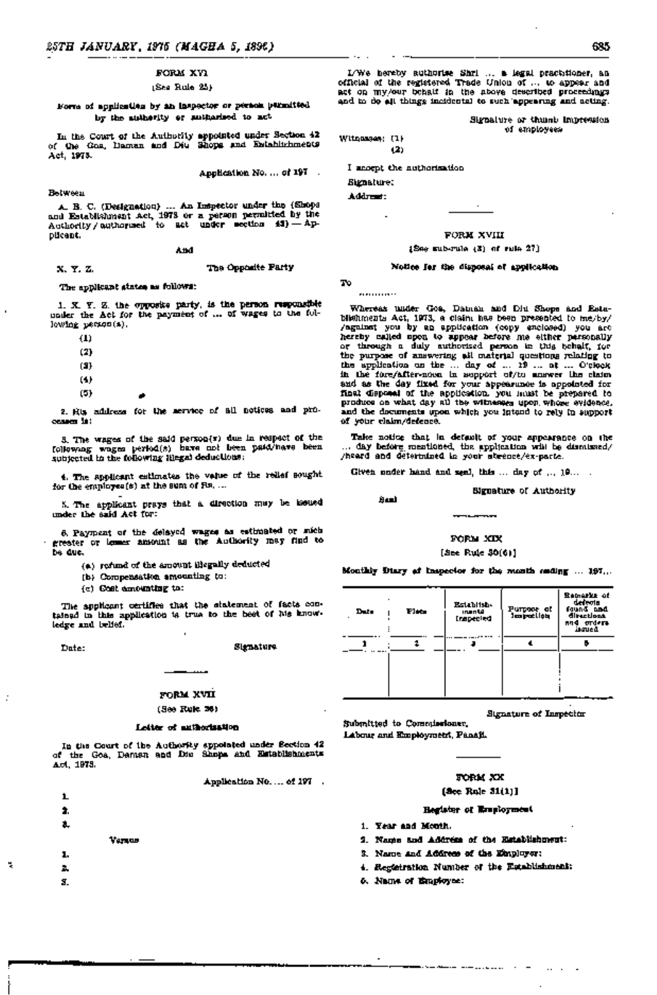#### FORM XVl

#### (See Rule 25)

#### Form of application by an insJ.)eCtor or person permitted by the authority or authorised to act

In the Court of the Authority appointed under Section 42 of the Goa,' Daman and Diu Shops and EstabH£hments Act, 1973.

Application No. ... of 197 .

Between

A. B. C. (Designation) ... An Inspector under the (Shops and Establishment Act, 1973 or a person permitted by the AuthOrity / authorised to act under section 43) -Applicant.

And

# X.Y.Z. The Opposite Party

# The applicant states as follows:

1. X. Y. Z. the opposite party, is the person responsible under the Act for the payment of ... of wages to the following person(s).

(1)

- (2)
- (3)
- (4)
- (5)
	-

2. His address for the service of all notices and processesi1s:

3. The wages of the said person(s) due in respect of the following wages period(s) have not been paid/have been subjected to the following lilegal deductions:

4. The applicant estimates the value of the relief sought for the employee(s) at the sum of  $Fs$ ....

5. The applicant prays that a direction may be issued under the said Act for:

6. Payment of the delayed wages as estimated or stich greater or lesser amount as the AuthOrity may find to be due.

- (a) refund of the amount illegally deducted
- (b) Compensation amounting to:
- $(c)$  Gost amounting to:

The applicant certifies that the statement of facts contained in this application is true to the best of his knowledge and beUef.

~.

#### Date: Stgnature

# .:§:: FORM XVII

#### (See Rule 26)

#### Letter of authorization

In the Court of the Authority appointed under Section 42 of the Goa, Daman and Diu Shops and Establishments Act, 1973.

Application No. ... of 197 .



I/We hereby authorise Shri· ... a legal, practitioner, an official of the registered Trade Union of ... to.ll.ppear. and act on my/our behalf in the above described proceedings and to do all things incIdental to such 'appearing and acting.

Signature or thumb impression ...

Witnesses: (1) (2)

I accept the authorization

Signature: Address:

#### FORM XVIII

#### $[156e$  sub-rule  $(3)$  of rule  $27]$

#### Notice for the disposal of application

To ...........

Seal

Whereas under Goa, Daman and Diu Shops and Esta- 'blishments Act, 1973, a claim has been presented to me/by/ /agalnst you by an application (copy enclosed) you are .. 11ereby called upon to appear before me either personally or through a duly authorised person in this behalf, for the purpose of answering all material questions relating to the application on the ... day of ... 19 ... at ... O'clock in the fore/after-noon in support of/to answer the claim and as the day fixed for your appearance is appointed for final disposal of the application, you must be prepared to produce on what day all the witnesses upon whose svidence. and the documents upon which you intend to rely in support of your claim/defence.

Take notice that in default of your appearance on the ... day before mentioned, the application will be dismissed, /heard and determdned in your absence/ex-parte. .

Given under hand and seal, this  $\dots$  day of  $\dots$  19 $\dots$ .

#### Signature of Authority

# FORM XIX

# [See Rule 30(6)]

Monthly Diary of Inspector for the month ending ... 197 ...

| Du. | Рыз | Establish-<br>inan ta<br>Inspected | Purpose at<br>Jespečijos | Remarks of<br>defenta<br>faund and<br>directions.<br>and orders<br>iscued |
|-----|-----|------------------------------------|--------------------------|---------------------------------------------------------------------------|
|     |     |                                    |                          |                                                                           |
|     |     |                                    |                          |                                                                           |
|     |     |                                    |                          |                                                                           |
|     |     |                                    |                          |                                                                           |

Signature.of Inspector

Submitted to Commissioner. Labour and Employment, Panaji.

#### FORM XX

#### [See Rule 31(1)]

# BeJister of Employment

- 1. Year and Montll.
- 2. Name and Address of the Establishment:
- 3. Name and Address of the Employer:
- 4. Regdstration Number of the Establishment:
- 5. Name of Employee: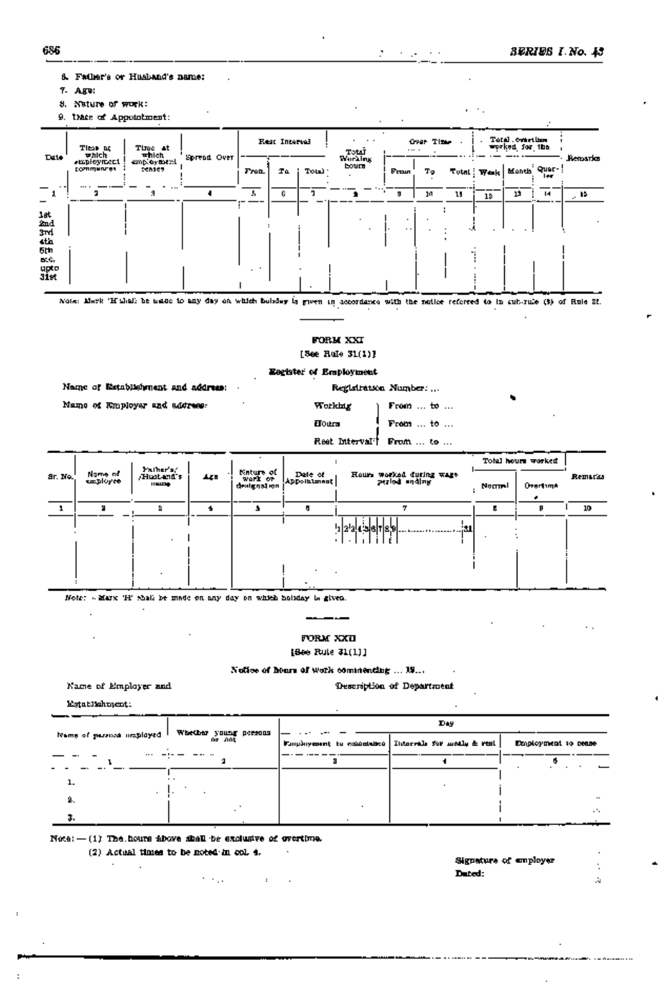SERIES I No. 45

- 6. Father's or Husband's name:
- 7. Age:
- 8. Nature of work:

9. then of Appointment:

| Date:                                                           | TIME OF<br>Time at<br><b>때 대</b><br>which<br>smployment<br><b>Commences</b><br>sensey |            | Rest Intervel |              | Totar |         | Over Time<br>$\cdots$   |       | Total constitution<br>worked for the |   |              |                |             |         |
|-----------------------------------------------------------------|---------------------------------------------------------------------------------------|------------|---------------|--------------|-------|---------|-------------------------|-------|--------------------------------------|---|--------------|----------------|-------------|---------|
|                                                                 |                                                                                       | employment | Spread Over   | <b>Front</b> | Tα    | Total 1 | <b>Working</b><br>bourn | Fraun | Tэ                                   |   | Tutal : Wesk | I Month Quer-! | <b>I</b> ex | Remario |
|                                                                 |                                                                                       |            |               | 5            | G.    |         |                         | з     | J0                                   | u | 13           | 1Ż             | м           | 94 م    |
| let<br>And<br>3rd<br>4th<br>5th<br>EC G.<br>upto<br><b>31st</b> |                                                                                       |            |               |              |       |         |                         | . .   |                                      |   |              |                |             |         |

Note: Mark 'Hulali be asset to any day on which boliday is given in accordance with the notice referred to in cut-rate (3) of Rule 21.

# FORM XXI

[See Rule 31(1)]

# Eegister of Employment

Name of Establishment and address: Mame of Employer and address:

| Registration Number: |                                    |  |  |  |  |  |  |  |
|----------------------|------------------------------------|--|--|--|--|--|--|--|
| orkhur               | From <del>to</del>                 |  |  |  |  |  |  |  |
| 0 ikra               | From $\dots$ to $\dots$            |  |  |  |  |  |  |  |
|                      | eet Interval <sup>†</sup> From  to |  |  |  |  |  |  |  |
|                      |                                    |  |  |  |  |  |  |  |

الجاحر الفرادح

 $\epsilon \rightarrow 1$ 

÷.

|         |                     | Pather's/                       |     |                      |                        |                          | Total hours worked |          |         |
|---------|---------------------|---------------------------------|-----|----------------------|------------------------|--------------------------|--------------------|----------|---------|
| Sr. No. | Name of<br>employee | <b>Hustand's</b><br>$11$ MJ $-$ | 449 | Nature of<br>work or | Date of<br>Appointment | Hours worked during wage | Normal             | Overtime | Remarks |
|         |                     |                                 |     |                      |                        |                          |                    |          | 10      |
|         |                     |                                 |     |                      |                        | 'a!4':18 T 8,9 i31       |                    |          |         |
|         |                     |                                 |     |                      | $\sim$ $\sim$          |                          |                    |          |         |

Note: « Marx 'H' shall be made on any day on which holiday is given.

 $\ddot{\phantom{a}}$ 

FORM XXII

 $[5e<sub>0</sub>$  Rule  $31(1)]$ 

 $\frac{1}{2} \left( \frac{1}{2} \right) \left( \frac{1}{2} \right) \left( \frac{1}{2} \right) \left( \frac{1}{2} \right) \left( \frac{1}{2} \right) \left( \frac{1}{2} \right) \left( \frac{1}{2} \right) \left( \frac{1}{2} \right) \left( \frac{1}{2} \right) \left( \frac{1}{2} \right) \left( \frac{1}{2} \right) \left( \frac{1}{2} \right) \left( \frac{1}{2} \right) \left( \frac{1}{2} \right) \left( \frac{1}{2} \right) \left( \frac{1}{2} \right) \left( \frac$ 

Notice of hours of work commending ... 19...

Name of Employer and

Description of Department

 $\sim$ 

Establishment:

 $\sim$ 

|                          | Whether young persons | Day                                                     |                     |  |  |  |
|--------------------------|-----------------------|---------------------------------------------------------|---------------------|--|--|--|
| Name of parsize imployed | na ant                | Employment to conceitate [ Intervals for moths & rest ] | Employment to rease |  |  |  |
|                          |                       |                                                         |                     |  |  |  |
| <b>.</b>                 |                       |                                                         |                     |  |  |  |
| 2.                       |                       |                                                         | $\cdots$            |  |  |  |
| з.                       |                       |                                                         | . .                 |  |  |  |

Note: $-(1)$  The hours above shall be exclusive of overtime.

the committee of

 $(2)$  Actual times to be noted in col. 4.

 $\mathcal{L}$ 

Signature of employer  $\ddot{\phantom{a}}$ Dated:  $\mathcal{L}$ 

------------

W  $\overline{a}$ 

R.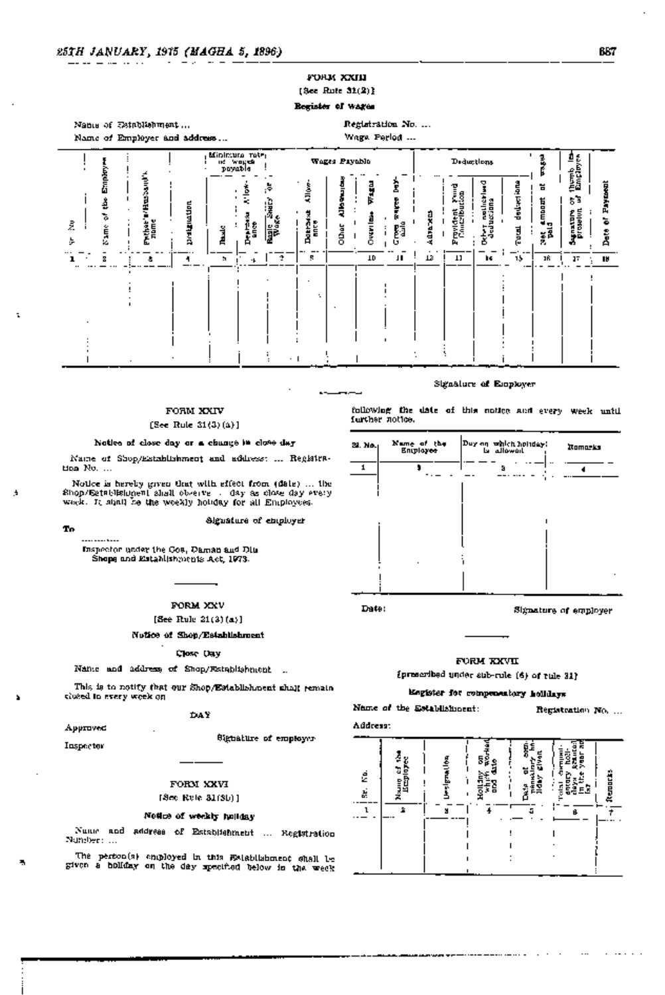# FORM XXIII  $(3c<sub>c</sub>$  Rute  $32(2)$ }

# Register of wages



### FORM XXIV

#### [See Rule 31(3)(a)]

#### Notice of close day or a change in close day

Name of Shop/Establishment and address: ... Registra-Hon No. ...

Notice is hereby given that with effect from (date) ... the Shop/Satablishing-n1 ahalt observe ... day as close day every work. It shall be the weekly holiday for all Employees.

Signature of employer

---- ---- ----

To.

t

A

Inspector under the Gos, Daman and Din Shops and Establishments Act, 1973.

FORM XXV

# [See Rule 21(3)(a)]

Nutice of Shop/Establishment

#### Close Ony

Name and address of Shop/Establishment ...

This is to notify that our Shop/Establishment shall remain clused to every week on

#### DAY

Approved Inspector

Signature of employer

FORM XXVI

# [Sec Rule 31(Sb)]

## Notice of weekly holiday

Nume and address of Establishment ... Registration Number: ...

The perfon(s) employed in this Establishment shall be given a holiday on the day specified below in the week

following the date of this notice and every week until further notice.

Signature of Employer



Date:

Signature of employer

# FORM KXVII

[prescribed under sub-rule (6) of rule 31)

# Engister for componentary holldays

Name of the Establishment:

Registration No. ...

Address: